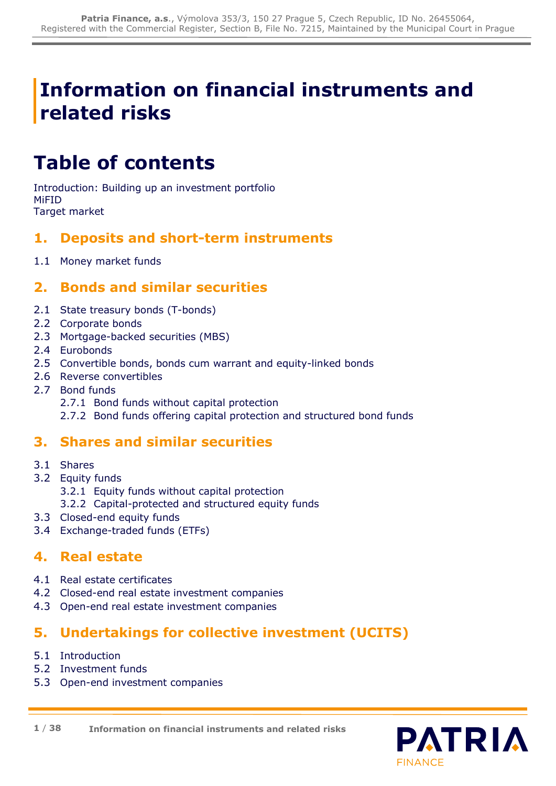# **Information on financial instruments and related risks**

# **Table of contents**

Introduction: Building up an investment portfolio MiFID Target market

# **1. Deposits and short-term instruments**

1.1 Money market funds

# **2. Bonds and similar securities**

- 2.1 State treasury bonds (T-bonds)
- 2.2 Corporate bonds
- 2.3 Mortgage-backed securities (MBS)
- 2.4 Eurobonds
- 2.5 Convertible bonds, bonds cum warrant and equity-linked bonds
- 2.6 Reverse convertibles
- 2.7 Bond funds
	- 2.7.1 Bond funds without capital protection
	- 2.7.2 Bond funds offering capital protection and structured bond funds

# **3. Shares and similar securities**

- 3.1 Shares
- 3.2 Equity funds
	- 3.2.1 Equity funds without capital protection
	- 3.2.2 Capital-protected and structured equity funds
- 3.3 Closed-end equity funds
- 3.4 Exchange-traded funds (ETFs)

# **4. Real estate**

- 4.1 Real estate certificates
- 4.2 Closed-end real estate investment companies
- 4.3 Open-end real estate investment companies

# **5. Undertakings for collective investment (UCITS)**

- 5.1 Introduction
- 5.2 Investment funds
- 5.3 Open-end investment companies

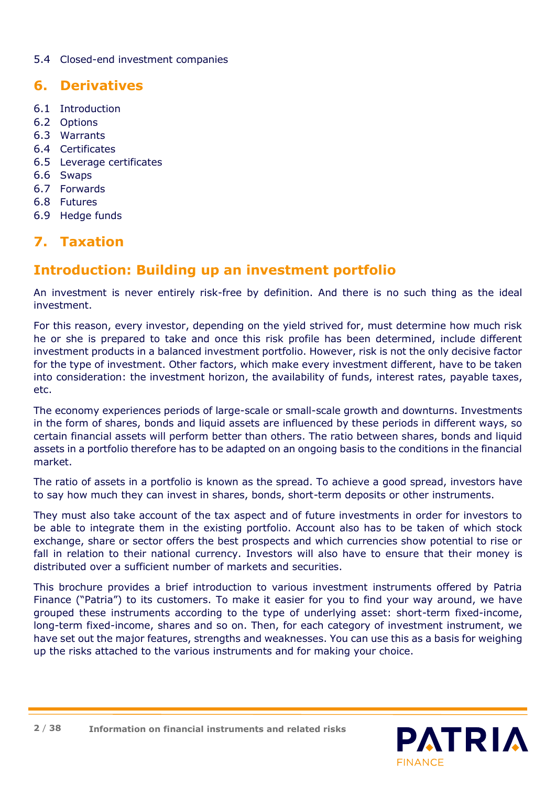# 5.4 Closed-end investment companies

# **6. Derivatives**

- 6.1 Introduction
- 6.2 Options
- 6.3 Warrants
- 6.4 Certificates
- 6.5 Leverage certificates
- 6.6 Swaps
- 6.7 Forwards
- 6.8 Futures
- 6.9 Hedge funds

# **7. Taxation**

# **Introduction: Building up an investment portfolio**

An investment is never entirely risk-free by definition. And there is no such thing as the ideal investment.

For this reason, every investor, depending on the yield strived for, must determine how much risk he or she is prepared to take and once this risk profile has been determined, include different investment products in a balanced investment portfolio. However, risk is not the only decisive factor for the type of investment. Other factors, which make every investment different, have to be taken into consideration: the investment horizon, the availability of funds, interest rates, payable taxes, etc.

The economy experiences periods of large-scale or small-scale growth and downturns. Investments in the form of shares, bonds and liquid assets are influenced by these periods in different ways, so certain financial assets will perform better than others. The ratio between shares, bonds and liquid assets in a portfolio therefore has to be adapted on an ongoing basis to the conditions in the financial market.

The ratio of assets in a portfolio is known as the spread. To achieve a good spread, investors have to say how much they can invest in shares, bonds, short-term deposits or other instruments.

They must also take account of the tax aspect and of future investments in order for investors to be able to integrate them in the existing portfolio. Account also has to be taken of which stock exchange, share or sector offers the best prospects and which currencies show potential to rise or fall in relation to their national currency. Investors will also have to ensure that their money is distributed over a sufficient number of markets and securities.

This brochure provides a brief introduction to various investment instruments offered by Patria Finance ("Patria") to its customers. To make it easier for you to find your way around, we have grouped these instruments according to the type of underlying asset: short-term fixed-income, long-term fixed-income, shares and so on. Then, for each category of investment instrument, we have set out the major features, strengths and weaknesses. You can use this as a basis for weighing up the risks attached to the various instruments and for making your choice.



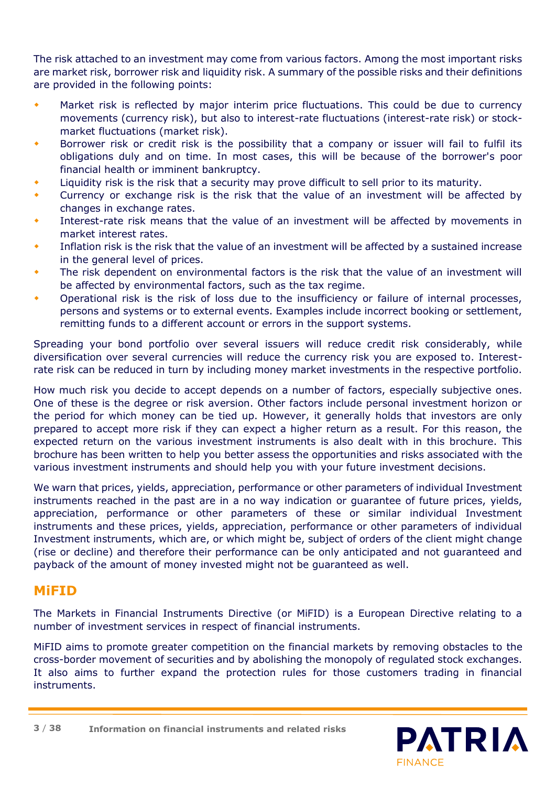The risk attached to an investment may come from various factors. Among the most important risks are market risk, borrower risk and liquidity risk. A summary of the possible risks and their definitions are provided in the following points:

- Market risk is reflected by major interim price fluctuations. This could be due to currency movements (currency risk), but also to interest-rate fluctuations (interest-rate risk) or stockmarket fluctuations (market risk).
- Borrower risk or credit risk is the possibility that a company or issuer will fail to fulfil its obligations duly and on time. In most cases, this will be because of the borrower's poor financial health or imminent bankruptcy.
- Liquidity risk is the risk that a security may prove difficult to sell prior to its maturity.
- Currency or exchange risk is the risk that the value of an investment will be affected by changes in exchange rates.
- Interest-rate risk means that the value of an investment will be affected by movements in market interest rates.
- Inflation risk is the risk that the value of an investment will be affected by a sustained increase in the general level of prices.
- The risk dependent on environmental factors is the risk that the value of an investment will be affected by environmental factors, such as the tax regime.
- Operational risk is the risk of loss due to the insufficiency or failure of internal processes, persons and systems or to external events. Examples include incorrect booking or settlement, remitting funds to a different account or errors in the support systems.

Spreading your bond portfolio over several issuers will reduce credit risk considerably, while diversification over several currencies will reduce the currency risk you are exposed to. Interestrate risk can be reduced in turn by including money market investments in the respective portfolio.

How much risk you decide to accept depends on a number of factors, especially subjective ones. One of these is the degree or risk aversion. Other factors include personal investment horizon or the period for which money can be tied up. However, it generally holds that investors are only prepared to accept more risk if they can expect a higher return as a result. For this reason, the expected return on the various investment instruments is also dealt with in this brochure. This brochure has been written to help you better assess the opportunities and risks associated with the various investment instruments and should help you with your future investment decisions.

We warn that prices, yields, appreciation, performance or other parameters of individual Investment instruments reached in the past are in a no way indication or guarantee of future prices, yields, appreciation, performance or other parameters of these or similar individual Investment instruments and these prices, yields, appreciation, performance or other parameters of individual Investment instruments, which are, or which might be, subject of orders of the client might change (rise or decline) and therefore their performance can be only anticipated and not guaranteed and payback of the amount of money invested might not be guaranteed as well.

# **MiFID**

The Markets in Financial Instruments Directive (or MiFID) is a European Directive relating to a number of investment services in respect of financial instruments.

MiFID aims to promote greater competition on the financial markets by removing obstacles to the cross-border movement of securities and by abolishing the monopoly of regulated stock exchanges. It also aims to further expand the protection rules for those customers trading in financial instruments.

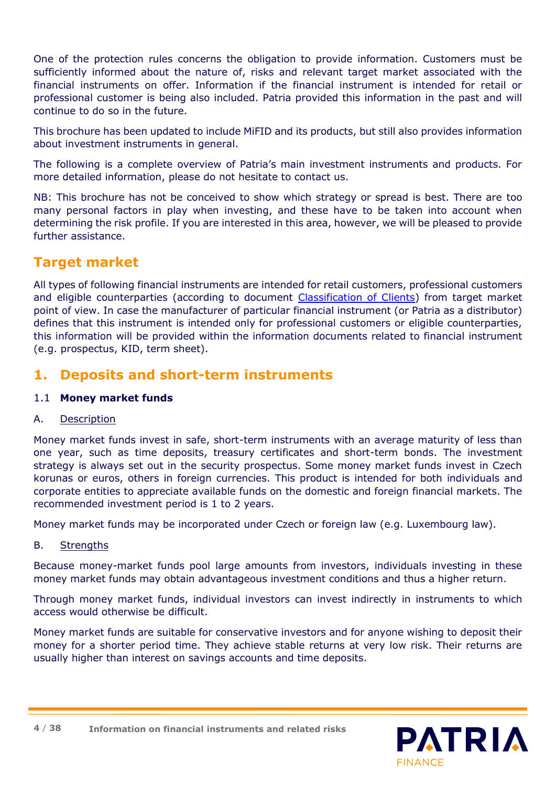One of the protection rules concerns the obligation to provide information. Customers must be sufficiently informed about the nature of, risks and relevant target market associated with the financial instruments on offer. Information if the financial instrument is intended for retail or professional customer is being also included. Patria provided this information in the past and will continue to do so in the future.

This brochure has been updated to include MiFID and its products, but still also provides information about investment instruments in general.

The following is a complete overview of Patria's main investment instruments and products. For more detailed information, please do not hesitate to contact us.

NB: This brochure has not be conceived to show which strategy or spread is best. There are too many personal factors in play when investing, and these have to be taken into account when determining the risk profile. If you are interested in this area, however, we will be pleased to provide further assistance.

# **Target market**

All types of following financial instruments are intended for retail customers, professional customers and eligible counterparties (according to document [Classification of Clients\)](https://cdn.patria.cz/Kategorizace-zakazniku.en.pdf) from target market point of view. In case the manufacturer of particular financial instrument (or Patria as a distributor) defines that this instrument is intended only for professional customers or eligible counterparties, this information will be provided within the information documents related to financial instrument (e.g. prospectus, KID, term sheet).

# **1. Deposits and short-term instruments**

# 1.1 **Money market funds**

# A. Description

Money market funds invest in safe, short-term instruments with an average maturity of less than one year, such as time deposits, treasury certificates and short-term bonds. The investment strategy is always set out in the security prospectus. Some money market funds invest in Czech korunas or euros, others in foreign currencies. This product is intended for both individuals and corporate entities to appreciate available funds on the domestic and foreign financial markets. The recommended investment period is 1 to 2 years.

Money market funds may be incorporated under Czech or foreign law (e.g. Luxembourg law).

# B. Strengths

Because money-market funds pool large amounts from investors, individuals investing in these money market funds may obtain advantageous investment conditions and thus a higher return.

Through money market funds, individual investors can invest indirectly in instruments to which access would otherwise be difficult.

Money market funds are suitable for conservative investors and for anyone wishing to deposit their money for a shorter period time. They achieve stable returns at very low risk. Their returns are usually higher than interest on savings accounts and time deposits.

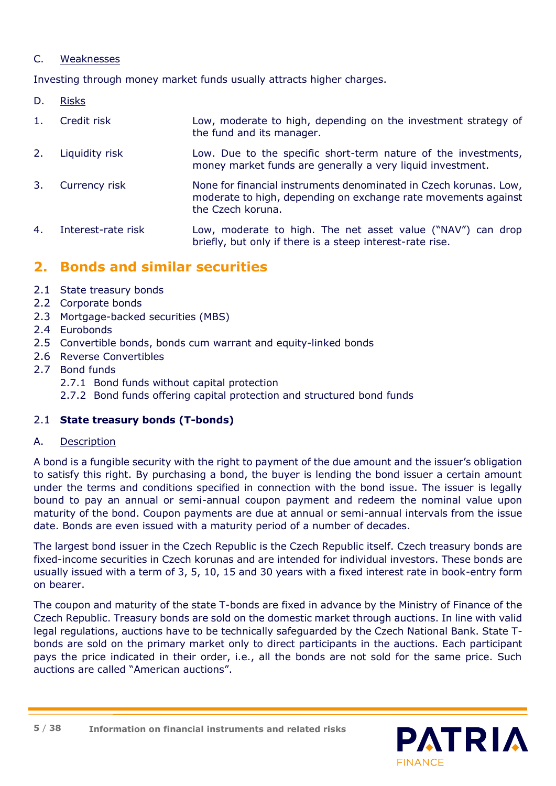### C. Weaknesses

Investing through money market funds usually attracts higher charges.

D. Risks

| 1. | Credit risk        | Low, moderate to high, depending on the investment strategy of<br>the fund and its manager.                                                              |
|----|--------------------|----------------------------------------------------------------------------------------------------------------------------------------------------------|
| 2. | Liquidity risk     | Low. Due to the specific short-term nature of the investments,<br>money market funds are generally a very liquid investment.                             |
| 3. | Currency risk      | None for financial instruments denominated in Czech korunas. Low,<br>moderate to high, depending on exchange rate movements against<br>the Czech koruna. |
| 4. | Interest-rate risk | Low, moderate to high. The net asset value ("NAV") can drop<br>briefly, but only if there is a steep interest-rate rise.                                 |

# **2. Bonds and similar securities**

- 2.1 State treasury bonds
- 2.2 Corporate bonds
- 2.3 Mortgage-backed securities (MBS)
- 2.4 Eurobonds
- 2.5 Convertible bonds, bonds cum warrant and equity-linked bonds
- 2.6 Reverse Convertibles
- 2.7 Bond funds
	- 2.7.1 Bond funds without capital protection
	- 2.7.2 Bond funds offering capital protection and structured bond funds

# 2.1 **State treasury bonds (T-bonds)**

A. Description

A bond is a fungible security with the right to payment of the due amount and the issuer's obligation to satisfy this right. By purchasing a bond, the buyer is lending the bond issuer a certain amount under the terms and conditions specified in connection with the bond issue. The issuer is legally bound to pay an annual or semi-annual coupon payment and redeem the nominal value upon maturity of the bond. Coupon payments are due at annual or semi-annual intervals from the issue date. Bonds are even issued with a maturity period of a number of decades.

The largest bond issuer in the Czech Republic is the Czech Republic itself. Czech treasury bonds are fixed-income securities in Czech korunas and are intended for individual investors. These bonds are usually issued with a term of 3, 5, 10, 15 and 30 years with a fixed interest rate in book-entry form on bearer.

The coupon and maturity of the state T-bonds are fixed in advance by the Ministry of Finance of the Czech Republic. Treasury bonds are sold on the domestic market through auctions. In line with valid legal regulations, auctions have to be technically safeguarded by the Czech National Bank. State Tbonds are sold on the primary market only to direct participants in the auctions. Each participant pays the price indicated in their order, i.e., all the bonds are not sold for the same price. Such auctions are called "American auctions".

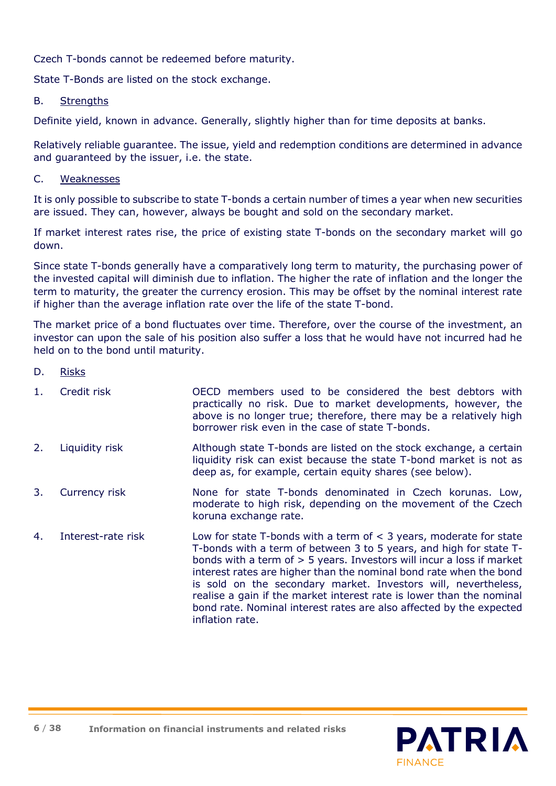Czech T-bonds cannot be redeemed before maturity.

State T-Bonds are listed on the stock exchange.

#### B. Strengths

Definite yield, known in advance. Generally, slightly higher than for time deposits at banks.

Relatively reliable guarantee. The issue, yield and redemption conditions are determined in advance and guaranteed by the issuer, i.e. the state.

#### C. Weaknesses

It is only possible to subscribe to state T-bonds a certain number of times a year when new securities are issued. They can, however, always be bought and sold on the secondary market.

If market interest rates rise, the price of existing state T-bonds on the secondary market will go down.

Since state T-bonds generally have a comparatively long term to maturity, the purchasing power of the invested capital will diminish due to inflation. The higher the rate of inflation and the longer the term to maturity, the greater the currency erosion. This may be offset by the nominal interest rate if higher than the average inflation rate over the life of the state T-bond.

The market price of a bond fluctuates over time. Therefore, over the course of the investment, an investor can upon the sale of his position also suffer a loss that he would have not incurred had he held on to the bond until maturity.

#### D. Risks

- 1. Credit risk OECD members used to be considered the best debtors with practically no risk. Due to market developments, however, the above is no longer true; therefore, there may be a relatively high borrower risk even in the case of state T-bonds.
- 2. Liquidity risk Although state T-bonds are listed on the stock exchange, a certain liquidity risk can exist because the state T-bond market is not as deep as, for example, certain equity shares (see below).
- 3. Currency risk None for state T-bonds denominated in Czech korunas. Low, moderate to high risk, depending on the movement of the Czech koruna exchange rate.
- 4. Interest-rate risk Low for state T-bonds with a term of < 3 years, moderate for state T-bonds with a term of between 3 to 5 years, and high for state Tbonds with a term of > 5 years. Investors will incur a loss if market interest rates are higher than the nominal bond rate when the bond is sold on the secondary market. Investors will, nevertheless, realise a gain if the market interest rate is lower than the nominal bond rate. Nominal interest rates are also affected by the expected inflation rate.

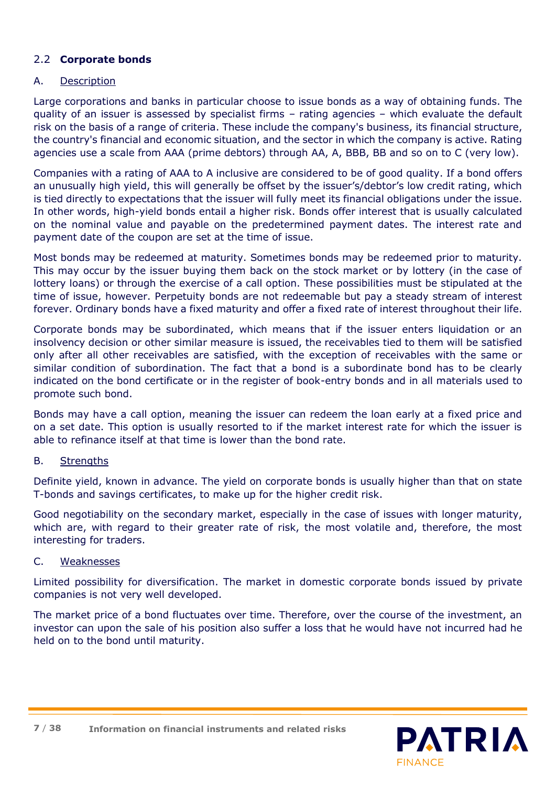# 2.2 **Corporate bonds**

#### A. Description

Large corporations and banks in particular choose to issue bonds as a way of obtaining funds. The quality of an issuer is assessed by specialist firms – rating agencies – which evaluate the default risk on the basis of a range of criteria. These include the company's business, its financial structure, the country's financial and economic situation, and the sector in which the company is active. Rating agencies use a scale from AAA (prime debtors) through AA, A, BBB, BB and so on to C (very low).

Companies with a rating of AAA to A inclusive are considered to be of good quality. If a bond offers an unusually high yield, this will generally be offset by the issuer's/debtor's low credit rating, which is tied directly to expectations that the issuer will fully meet its financial obligations under the issue. In other words, high-yield bonds entail a higher risk. Bonds offer interest that is usually calculated on the nominal value and payable on the predetermined payment dates. The interest rate and payment date of the coupon are set at the time of issue.

Most bonds may be redeemed at maturity. Sometimes bonds may be redeemed prior to maturity. This may occur by the issuer buying them back on the stock market or by lottery (in the case of lottery loans) or through the exercise of a call option. These possibilities must be stipulated at the time of issue, however. Perpetuity bonds are not redeemable but pay a steady stream of interest forever. Ordinary bonds have a fixed maturity and offer a fixed rate of interest throughout their life.

Corporate bonds may be subordinated, which means that if the issuer enters liquidation or an insolvency decision or other similar measure is issued, the receivables tied to them will be satisfied only after all other receivables are satisfied, with the exception of receivables with the same or similar condition of subordination. The fact that a bond is a subordinate bond has to be clearly indicated on the bond certificate or in the register of book-entry bonds and in all materials used to promote such bond.

Bonds may have a call option, meaning the issuer can redeem the loan early at a fixed price and on a set date. This option is usually resorted to if the market interest rate for which the issuer is able to refinance itself at that time is lower than the bond rate.

#### B. Strengths

Definite yield, known in advance. The yield on corporate bonds is usually higher than that on state T-bonds and savings certificates, to make up for the higher credit risk.

Good negotiability on the secondary market, especially in the case of issues with longer maturity, which are, with regard to their greater rate of risk, the most volatile and, therefore, the most interesting for traders.

#### C. Weaknesses

Limited possibility for diversification. The market in domestic corporate bonds issued by private companies is not very well developed.

The market price of a bond fluctuates over time. Therefore, over the course of the investment, an investor can upon the sale of his position also suffer a loss that he would have not incurred had he held on to the bond until maturity.



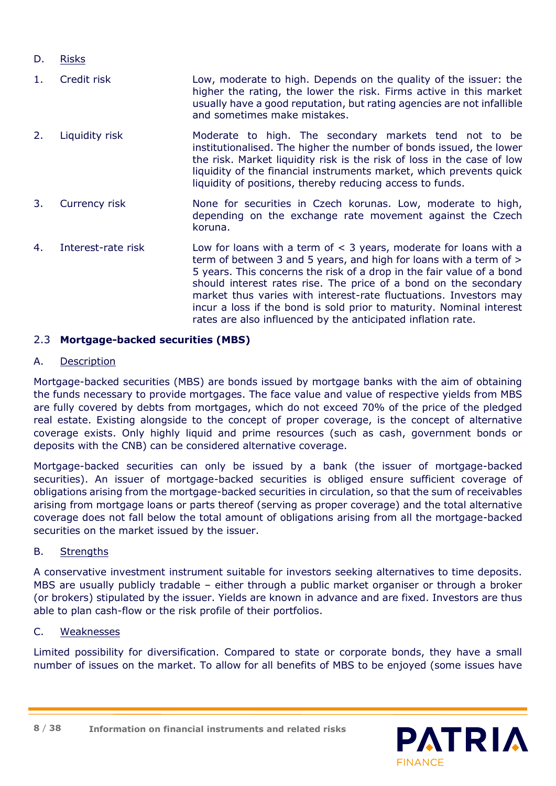- D. Risks
- 1. Credit risk Low, moderate to high. Depends on the quality of the issuer: the higher the rating, the lower the risk. Firms active in this market usually have a good reputation, but rating agencies are not infallible and sometimes make mistakes. 2. Liquidity risk **Moderate to high. The secondary markets tend not to be**
- institutionalised. The higher the number of bonds issued, the lower the risk. Market liquidity risk is the risk of loss in the case of low liquidity of the financial instruments market, which prevents quick liquidity of positions, thereby reducing access to funds.
- 3. Currency risk None for securities in Czech korunas. Low, moderate to high, depending on the exchange rate movement against the Czech koruna.
- 4. Interest-rate risk Low for loans with a term of < 3 years, moderate for loans with a term of between 3 and 5 years, and high for loans with a term of > 5 years. This concerns the risk of a drop in the fair value of a bond should interest rates rise. The price of a bond on the secondary market thus varies with interest-rate fluctuations. Investors may incur a loss if the bond is sold prior to maturity. Nominal interest rates are also influenced by the anticipated inflation rate.

# 2.3 **Mortgage-backed securities (MBS)**

# A. Description

Mortgage-backed securities (MBS) are bonds issued by mortgage banks with the aim of obtaining the funds necessary to provide mortgages. The face value and value of respective yields from MBS are fully covered by debts from mortgages, which do not exceed 70% of the price of the pledged real estate. Existing alongside to the concept of proper coverage, is the concept of alternative coverage exists. Only highly liquid and prime resources (such as cash, government bonds or deposits with the CNB) can be considered alternative coverage.

Mortgage-backed securities can only be issued by a bank (the issuer of mortgage-backed securities). An issuer of mortgage-backed securities is obliged ensure sufficient coverage of obligations arising from the mortgage-backed securities in circulation, so that the sum of receivables arising from mortgage loans or parts thereof (serving as proper coverage) and the total alternative coverage does not fall below the total amount of obligations arising from all the mortgage-backed securities on the market issued by the issuer.

# B. Strengths

A conservative investment instrument suitable for investors seeking alternatives to time deposits. MBS are usually publicly tradable – either through a public market organiser or through a broker (or brokers) stipulated by the issuer. Yields are known in advance and are fixed. Investors are thus able to plan cash-flow or the risk profile of their portfolios.

# C. Weaknesses

Limited possibility for diversification. Compared to state or corporate bonds, they have a small number of issues on the market. To allow for all benefits of MBS to be enjoyed (some issues have

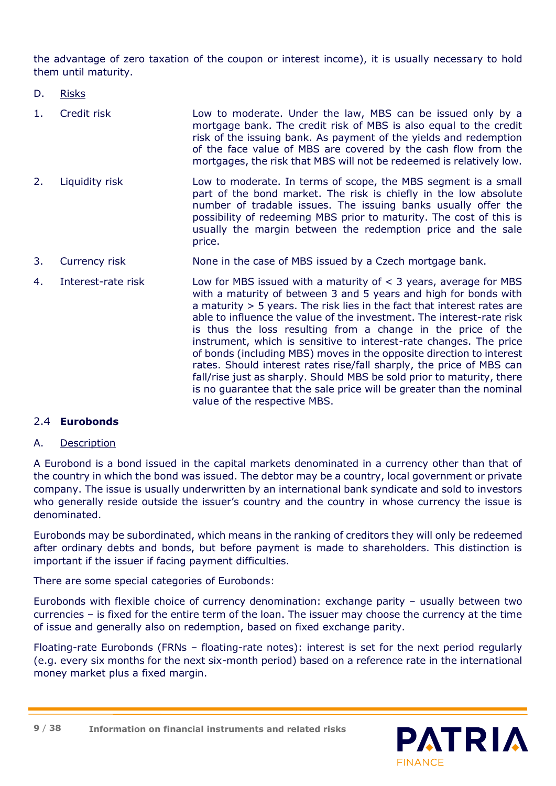the advantage of zero taxation of the coupon or interest income), it is usually necessary to hold them until maturity.

- D. Risks
- 1. Credit risk Low to moderate. Under the law, MBS can be issued only by a mortgage bank. The credit risk of MBS is also equal to the credit risk of the issuing bank. As payment of the yields and redemption of the face value of MBS are covered by the cash flow from the mortgages, the risk that MBS will not be redeemed is relatively low.
- 2. Liquidity risk Low to moderate. In terms of scope, the MBS segment is a small part of the bond market. The risk is chiefly in the low absolute number of tradable issues. The issuing banks usually offer the possibility of redeeming MBS prior to maturity. The cost of this is usually the margin between the redemption price and the sale price.
- 3. Currency risk **None in the case of MBS issued by a Czech mortgage bank.**
- 4. Interest-rate risk Low for MBS issued with a maturity of < 3 years, average for MBS with a maturity of between 3 and 5 years and high for bonds with a maturity > 5 years. The risk lies in the fact that interest rates are able to influence the value of the investment. The interest-rate risk is thus the loss resulting from a change in the price of the instrument, which is sensitive to interest-rate changes. The price of bonds (including MBS) moves in the opposite direction to interest rates. Should interest rates rise/fall sharply, the price of MBS can fall/rise just as sharply. Should MBS be sold prior to maturity, there is no guarantee that the sale price will be greater than the nominal value of the respective MBS.

# 2.4 **Eurobonds**

#### A. Description

A Eurobond is a bond issued in the capital markets denominated in a currency other than that of the country in which the bond was issued. The debtor may be a country, local government or private company. The issue is usually underwritten by an international bank syndicate and sold to investors who generally reside outside the issuer's country and the country in whose currency the issue is denominated.

Eurobonds may be subordinated, which means in the ranking of creditors they will only be redeemed after ordinary debts and bonds, but before payment is made to shareholders. This distinction is important if the issuer if facing payment difficulties.

There are some special categories of Eurobonds:

Eurobonds with flexible choice of currency denomination: exchange parity – usually between two currencies – is fixed for the entire term of the loan. The issuer may choose the currency at the time of issue and generally also on redemption, based on fixed exchange parity.

Floating-rate Eurobonds (FRNs – floating-rate notes): interest is set for the next period regularly (e.g. every six months for the next six-month period) based on a reference rate in the international money market plus a fixed margin.

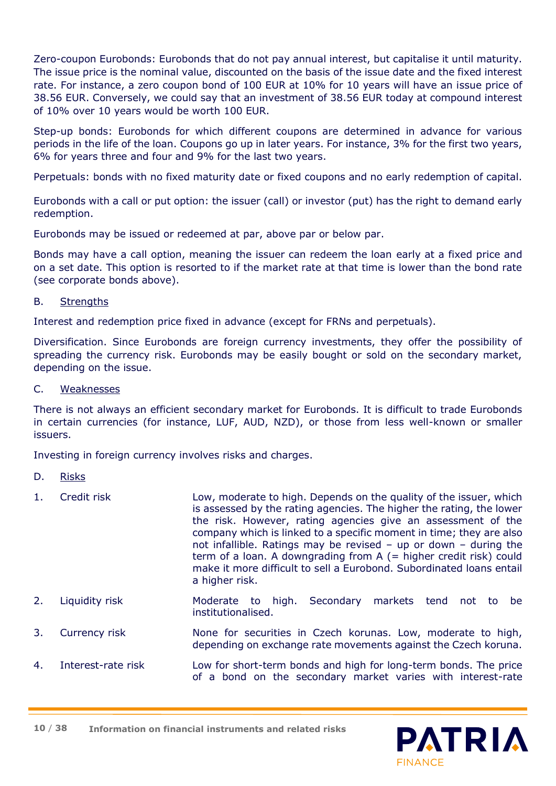Zero-coupon Eurobonds: Eurobonds that do not pay annual interest, but capitalise it until maturity. The issue price is the nominal value, discounted on the basis of the issue date and the fixed interest rate. For instance, a zero coupon bond of 100 EUR at 10% for 10 years will have an issue price of 38.56 EUR. Conversely, we could say that an investment of 38.56 EUR today at compound interest of 10% over 10 years would be worth 100 EUR.

Step-up bonds: Eurobonds for which different coupons are determined in advance for various periods in the life of the loan. Coupons go up in later years. For instance, 3% for the first two years, 6% for years three and four and 9% for the last two years.

Perpetuals: bonds with no fixed maturity date or fixed coupons and no early redemption of capital.

Eurobonds with a call or put option: the issuer (call) or investor (put) has the right to demand early redemption.

Eurobonds may be issued or redeemed at par, above par or below par.

Bonds may have a call option, meaning the issuer can redeem the loan early at a fixed price and on a set date. This option is resorted to if the market rate at that time is lower than the bond rate (see corporate bonds above).

#### B. Strengths

Interest and redemption price fixed in advance (except for FRNs and perpetuals).

Diversification. Since Eurobonds are foreign currency investments, they offer the possibility of spreading the currency risk. Eurobonds may be easily bought or sold on the secondary market, depending on the issue.

#### C. Weaknesses

There is not always an efficient secondary market for Eurobonds. It is difficult to trade Eurobonds in certain currencies (for instance, LUF, AUD, NZD), or those from less well-known or smaller issuers.

Investing in foreign currency involves risks and charges.

- D. Risks
- 1. Credit risk Low, moderate to high. Depends on the quality of the issuer, which is assessed by the rating agencies. The higher the rating, the lower the risk. However, rating agencies give an assessment of the company which is linked to a specific moment in time; they are also not infallible. Ratings may be revised – up or down – during the term of a loan. A downgrading from  $A$  (= higher credit risk) could make it more difficult to sell a Eurobond. Subordinated loans entail a higher risk.
- 2. Liquidity risk Moderate to high. Secondary markets tend not to be institutionalised.
- 3. Currency risk None for securities in Czech korunas. Low, moderate to high, depending on exchange rate movements against the Czech koruna.
- 4. Interest-rate risk Low for short-term bonds and high for long-term bonds. The price of a bond on the secondary market varies with interest-rate

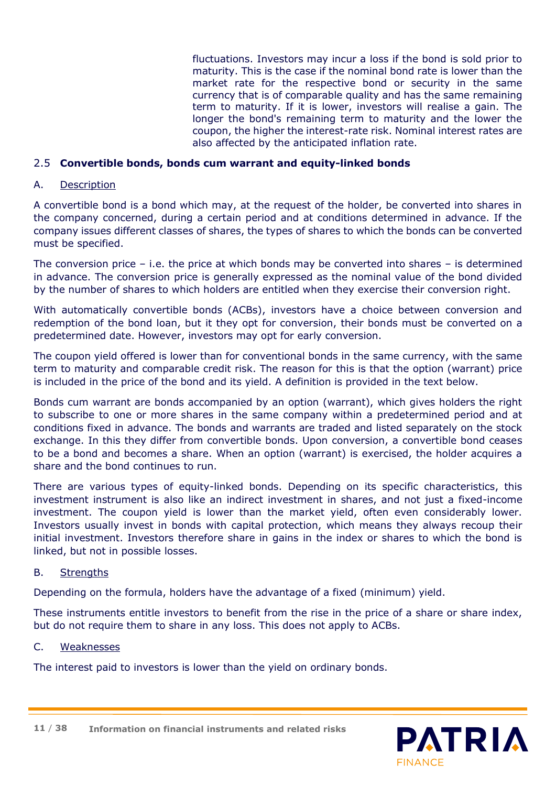fluctuations. Investors may incur a loss if the bond is sold prior to maturity. This is the case if the nominal bond rate is lower than the market rate for the respective bond or security in the same currency that is of comparable quality and has the same remaining term to maturity. If it is lower, investors will realise a gain. The longer the bond's remaining term to maturity and the lower the coupon, the higher the interest-rate risk. Nominal interest rates are also affected by the anticipated inflation rate.

#### 2.5 **Convertible bonds, bonds cum warrant and equity-linked bonds**

#### A. Description

A convertible bond is a bond which may, at the request of the holder, be converted into shares in the company concerned, during a certain period and at conditions determined in advance. If the company issues different classes of shares, the types of shares to which the bonds can be converted must be specified.

The conversion price  $-$  i.e. the price at which bonds may be converted into shares  $-$  is determined in advance. The conversion price is generally expressed as the nominal value of the bond divided by the number of shares to which holders are entitled when they exercise their conversion right.

With automatically convertible bonds (ACBs), investors have a choice between conversion and redemption of the bond loan, but it they opt for conversion, their bonds must be converted on a predetermined date. However, investors may opt for early conversion.

The coupon yield offered is lower than for conventional bonds in the same currency, with the same term to maturity and comparable credit risk. The reason for this is that the option (warrant) price is included in the price of the bond and its yield. A definition is provided in the text below.

Bonds cum warrant are bonds accompanied by an option (warrant), which gives holders the right to subscribe to one or more shares in the same company within a predetermined period and at conditions fixed in advance. The bonds and warrants are traded and listed separately on the stock exchange. In this they differ from convertible bonds. Upon conversion, a convertible bond ceases to be a bond and becomes a share. When an option (warrant) is exercised, the holder acquires a share and the bond continues to run.

There are various types of equity-linked bonds. Depending on its specific characteristics, this investment instrument is also like an indirect investment in shares, and not just a fixed-income investment. The coupon yield is lower than the market yield, often even considerably lower. Investors usually invest in bonds with capital protection, which means they always recoup their initial investment. Investors therefore share in gains in the index or shares to which the bond is linked, but not in possible losses.

#### B. Strengths

Depending on the formula, holders have the advantage of a fixed (minimum) yield.

These instruments entitle investors to benefit from the rise in the price of a share or share index, but do not require them to share in any loss. This does not apply to ACBs.

#### C. Weaknesses

The interest paid to investors is lower than the yield on ordinary bonds.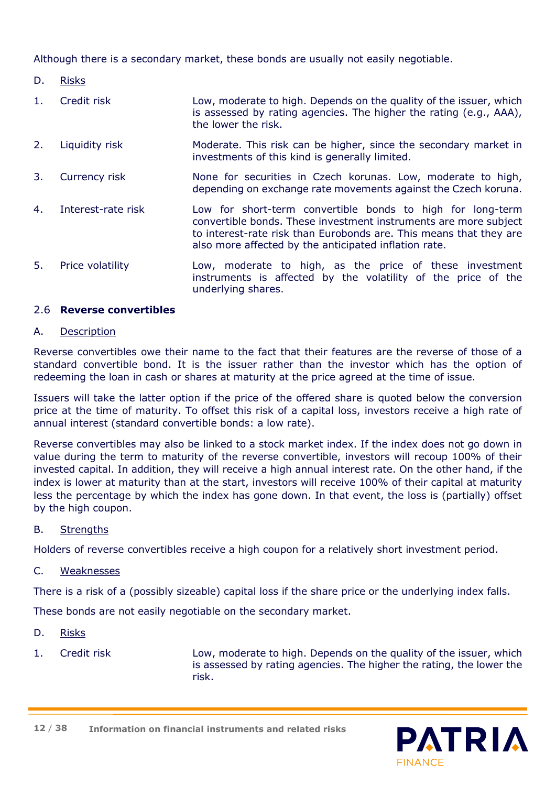Although there is a secondary market, these bonds are usually not easily negotiable.

- D. Risks
- 1. Credit risk Low, moderate to high. Depends on the quality of the issuer, which is assessed by rating agencies. The higher the rating (e.g., AAA), the lower the risk.
- 2. Liquidity risk Moderate. This risk can be higher, since the secondary market in investments of this kind is generally limited.
- 3. Currency risk **None for securities in Czech korunas. Low, moderate to high,** depending on exchange rate movements against the Czech koruna.
- 4. Interest-rate risk Low for short-term convertible bonds to high for long-term convertible bonds. These investment instruments are more subject to interest-rate risk than Eurobonds are. This means that they are also more affected by the anticipated inflation rate.
- 5. Price volatility Low, moderate to high, as the price of these investment instruments is affected by the volatility of the price of the underlying shares.

#### 2.6 **Reverse convertibles**

#### A. Description

Reverse convertibles owe their name to the fact that their features are the reverse of those of a standard convertible bond. It is the issuer rather than the investor which has the option of redeeming the loan in cash or shares at maturity at the price agreed at the time of issue.

Issuers will take the latter option if the price of the offered share is quoted below the conversion price at the time of maturity. To offset this risk of a capital loss, investors receive a high rate of annual interest (standard convertible bonds: a low rate).

Reverse convertibles may also be linked to a stock market index. If the index does not go down in value during the term to maturity of the reverse convertible, investors will recoup 100% of their invested capital. In addition, they will receive a high annual interest rate. On the other hand, if the index is lower at maturity than at the start, investors will receive 100% of their capital at maturity less the percentage by which the index has gone down. In that event, the loss is (partially) offset by the high coupon.

# B. Strengths

Holders of reverse convertibles receive a high coupon for a relatively short investment period.

#### C. Weaknesses

There is a risk of a (possibly sizeable) capital loss if the share price or the underlying index falls.

These bonds are not easily negotiable on the secondary market.

#### D. Risks

1. Credit risk Low, moderate to high. Depends on the quality of the issuer, which is assessed by rating agencies. The higher the rating, the lower the risk.



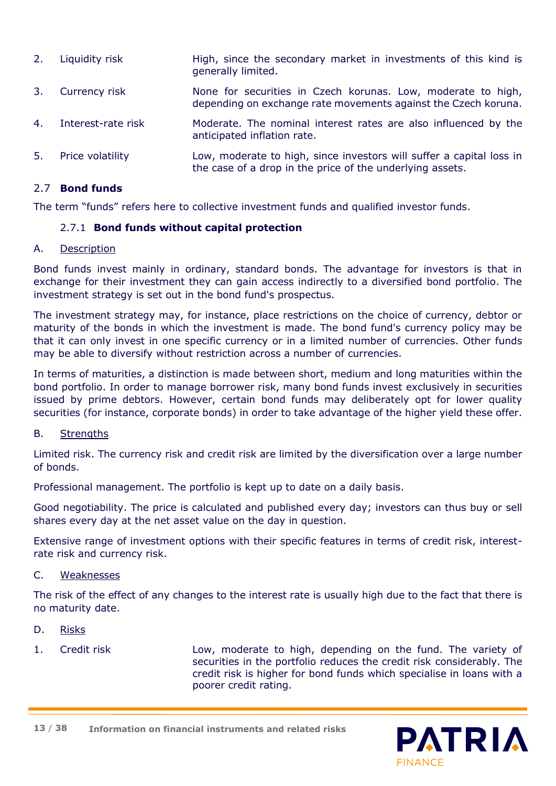| 2. | Liquidity risk     | High, since the secondary market in investments of this kind is<br>generally limited.                                             |
|----|--------------------|-----------------------------------------------------------------------------------------------------------------------------------|
| 3. | Currency risk      | None for securities in Czech korunas. Low, moderate to high,<br>depending on exchange rate movements against the Czech koruna.    |
| 4. | Interest-rate risk | Moderate. The nominal interest rates are also influenced by the<br>anticipated inflation rate.                                    |
| 5. | Price volatility   | Low, moderate to high, since investors will suffer a capital loss in<br>the case of a drop in the price of the underlying assets. |

#### 2.7 **Bond funds**

The term "funds" refers here to collective investment funds and qualified investor funds.

#### 2.7.1 **Bond funds without capital protection**

#### A. Description

Bond funds invest mainly in ordinary, standard bonds. The advantage for investors is that in exchange for their investment they can gain access indirectly to a diversified bond portfolio. The investment strategy is set out in the bond fund's prospectus.

The investment strategy may, for instance, place restrictions on the choice of currency, debtor or maturity of the bonds in which the investment is made. The bond fund's currency policy may be that it can only invest in one specific currency or in a limited number of currencies. Other funds may be able to diversify without restriction across a number of currencies.

In terms of maturities, a distinction is made between short, medium and long maturities within the bond portfolio. In order to manage borrower risk, many bond funds invest exclusively in securities issued by prime debtors. However, certain bond funds may deliberately opt for lower quality securities (for instance, corporate bonds) in order to take advantage of the higher yield these offer.

#### B. Strengths

Limited risk. The currency risk and credit risk are limited by the diversification over a large number of bonds.

Professional management. The portfolio is kept up to date on a daily basis.

Good negotiability. The price is calculated and published every day; investors can thus buy or sell shares every day at the net asset value on the day in question.

Extensive range of investment options with their specific features in terms of credit risk, interestrate risk and currency risk.

#### C. Weaknesses

The risk of the effect of any changes to the interest rate is usually high due to the fact that there is no maturity date.

- D. Risks
- 

1. Credit risk Low, moderate to high, depending on the fund. The variety of securities in the portfolio reduces the credit risk considerably. The credit risk is higher for bond funds which specialise in loans with a poorer credit rating.

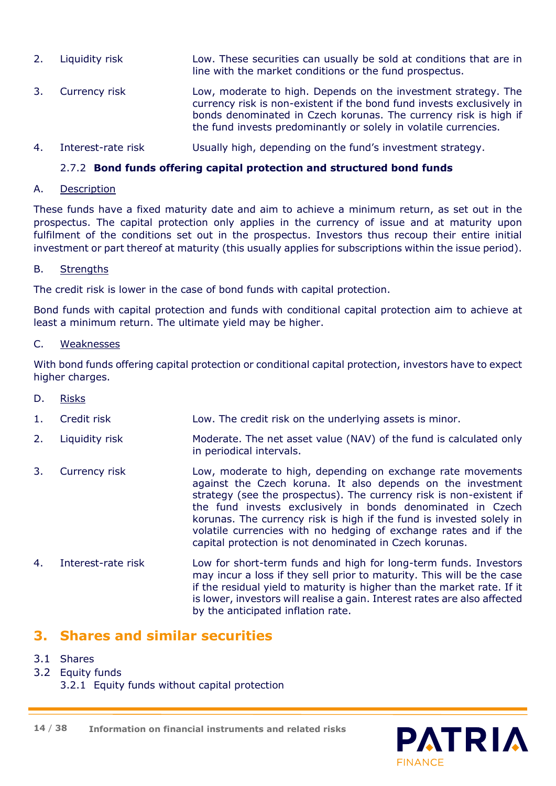- 2. Liquidity risk Low. These securities can usually be sold at conditions that are in line with the market conditions or the fund prospectus. 3. Currency risk Low, moderate to high. Depends on the investment strategy. The
- currency risk is non-existent if the bond fund invests exclusively in bonds denominated in Czech korunas. The currency risk is high if the fund invests predominantly or solely in volatile currencies.
- 4. Interest-rate risk Usually high, depending on the fund's investment strategy.

# 2.7.2 **Bond funds offering capital protection and structured bond funds**

# A. Description

These funds have a fixed maturity date and aim to achieve a minimum return, as set out in the prospectus. The capital protection only applies in the currency of issue and at maturity upon fulfilment of the conditions set out in the prospectus. Investors thus recoup their entire initial investment or part thereof at maturity (this usually applies for subscriptions within the issue period).

# B. Strengths

The credit risk is lower in the case of bond funds with capital protection.

Bond funds with capital protection and funds with conditional capital protection aim to achieve at least a minimum return. The ultimate yield may be higher.

#### C. Weaknesses

With bond funds offering capital protection or conditional capital protection, investors have to expect higher charges.

- D. Risks
- 1. Credit risk Low. The credit risk on the underlying assets is minor.
- 2. Liquidity risk Moderate. The net asset value (NAV) of the fund is calculated only in periodical intervals.
- 3. Currency risk Low, moderate to high, depending on exchange rate movements against the Czech koruna. It also depends on the investment strategy (see the prospectus). The currency risk is non-existent if the fund invests exclusively in bonds denominated in Czech korunas. The currency risk is high if the fund is invested solely in volatile currencies with no hedging of exchange rates and if the capital protection is not denominated in Czech korunas.
- 4. Interest-rate risk Low for short-term funds and high for long-term funds. Investors may incur a loss if they sell prior to maturity. This will be the case if the residual yield to maturity is higher than the market rate. If it is lower, investors will realise a gain. Interest rates are also affected by the anticipated inflation rate.

# **3. Shares and similar securities**

- 3.1 Shares
- 3.2 Equity funds
	- 3.2.1 Equity funds without capital protection

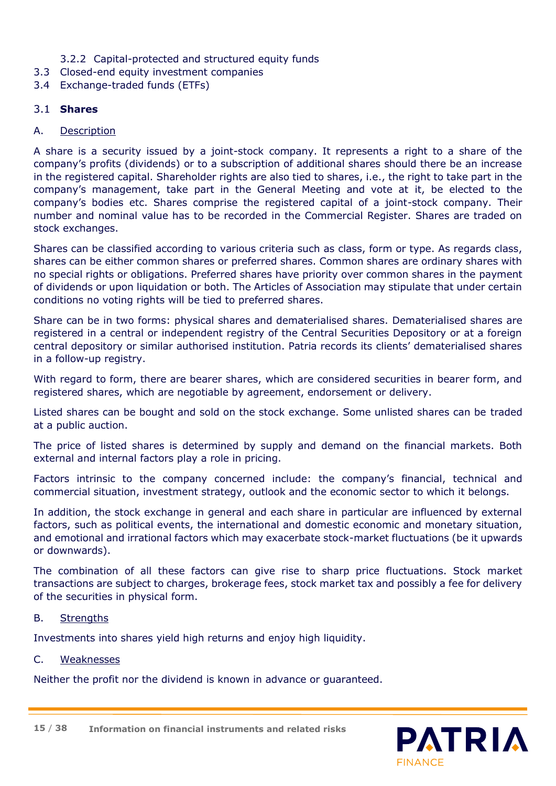# 3.2.2 Capital-protected and structured equity funds

- 3.3 Closed-end equity investment companies
- 3.4 Exchange-traded funds (ETFs)

# 3.1 **Shares**

### A. Description

A share is a security issued by a joint-stock company. It represents a right to a share of the company's profits (dividends) or to a subscription of additional shares should there be an increase in the registered capital. Shareholder rights are also tied to shares, i.e., the right to take part in the company's management, take part in the General Meeting and vote at it, be elected to the company's bodies etc. Shares comprise the registered capital of a joint-stock company. Their number and nominal value has to be recorded in the Commercial Register. Shares are traded on stock exchanges.

Shares can be classified according to various criteria such as class, form or type. As regards class, shares can be either common shares or preferred shares. Common shares are ordinary shares with no special rights or obligations. Preferred shares have priority over common shares in the payment of dividends or upon liquidation or both. The Articles of Association may stipulate that under certain conditions no voting rights will be tied to preferred shares.

Share can be in two forms: physical shares and dematerialised shares. Dematerialised shares are registered in a central or independent registry of the Central Securities Depository or at a foreign central depository or similar authorised institution. Patria records its clients' dematerialised shares in a follow-up registry.

With regard to form, there are bearer shares, which are considered securities in bearer form, and registered shares, which are negotiable by agreement, endorsement or delivery.

Listed shares can be bought and sold on the stock exchange. Some unlisted shares can be traded at a public auction.

The price of listed shares is determined by supply and demand on the financial markets. Both external and internal factors play a role in pricing.

Factors intrinsic to the company concerned include: the company's financial, technical and commercial situation, investment strategy, outlook and the economic sector to which it belongs.

In addition, the stock exchange in general and each share in particular are influenced by external factors, such as political events, the international and domestic economic and monetary situation, and emotional and irrational factors which may exacerbate stock-market fluctuations (be it upwards or downwards).

The combination of all these factors can give rise to sharp price fluctuations. Stock market transactions are subject to charges, brokerage fees, stock market tax and possibly a fee for delivery of the securities in physical form.

#### B. Strengths

Investments into shares yield high returns and enjoy high liquidity.

#### C. Weaknesses

Neither the profit nor the dividend is known in advance or guaranteed.



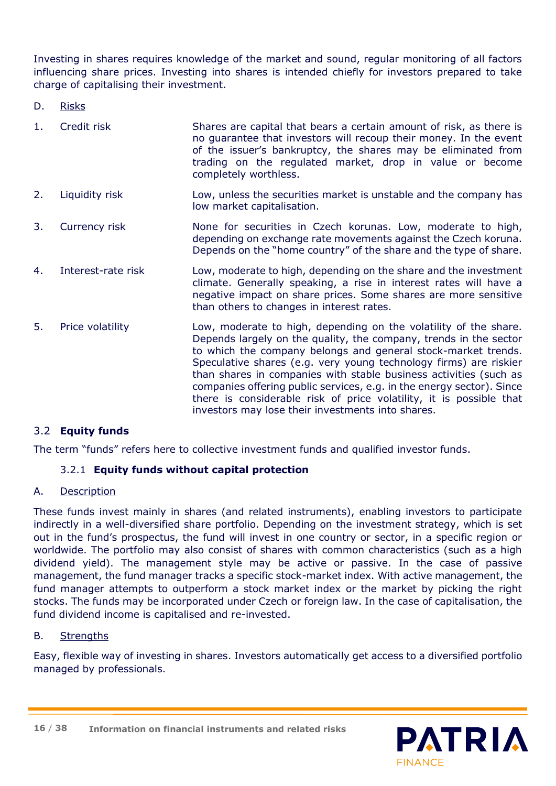Investing in shares requires knowledge of the market and sound, regular monitoring of all factors influencing share prices. Investing into shares is intended chiefly for investors prepared to take charge of capitalising their investment.

D. Risks

| 1. | Credit risk        | Shares are capital that bears a certain amount of risk, as there is<br>no guarantee that investors will recoup their money. In the event<br>of the issuer's bankruptcy, the shares may be eliminated from<br>trading on the regulated market, drop in value or become<br>completely worthless.                                                                                                                                                                                                   |
|----|--------------------|--------------------------------------------------------------------------------------------------------------------------------------------------------------------------------------------------------------------------------------------------------------------------------------------------------------------------------------------------------------------------------------------------------------------------------------------------------------------------------------------------|
| 2. | Liquidity risk     | Low, unless the securities market is unstable and the company has<br>low market capitalisation.                                                                                                                                                                                                                                                                                                                                                                                                  |
| 3. | Currency risk      | None for securities in Czech korunas. Low, moderate to high,<br>depending on exchange rate movements against the Czech koruna.<br>Depends on the "home country" of the share and the type of share.                                                                                                                                                                                                                                                                                              |
| 4. | Interest-rate risk | Low, moderate to high, depending on the share and the investment<br>climate. Generally speaking, a rise in interest rates will have a<br>negative impact on share prices. Some shares are more sensitive<br>than others to changes in interest rates.                                                                                                                                                                                                                                            |
| 5. | Price volatility   | Low, moderate to high, depending on the volatility of the share.<br>Depends largely on the quality, the company, trends in the sector<br>to which the company belongs and general stock-market trends.<br>Speculative shares (e.g. very young technology firms) are riskier<br>than shares in companies with stable business activities (such as<br>companies offering public services, e.g. in the energy sector). Since<br>there is considerable risk of price volatility, it is possible that |

investors may lose their investments into shares.

# 3.2 **Equity funds**

The term "funds" refers here to collective investment funds and qualified investor funds.

#### 3.2.1 **Equity funds without capital protection**

#### A. Description

These funds invest mainly in shares (and related instruments), enabling investors to participate indirectly in a well-diversified share portfolio. Depending on the investment strategy, which is set out in the fund's prospectus, the fund will invest in one country or sector, in a specific region or worldwide. The portfolio may also consist of shares with common characteristics (such as a high dividend yield). The management style may be active or passive. In the case of passive management, the fund manager tracks a specific stock-market index. With active management, the fund manager attempts to outperform a stock market index or the market by picking the right stocks. The funds may be incorporated under Czech or foreign law. In the case of capitalisation, the fund dividend income is capitalised and re-invested.

#### B. Strengths

Easy, flexible way of investing in shares. Investors automatically get access to a diversified portfolio managed by professionals.

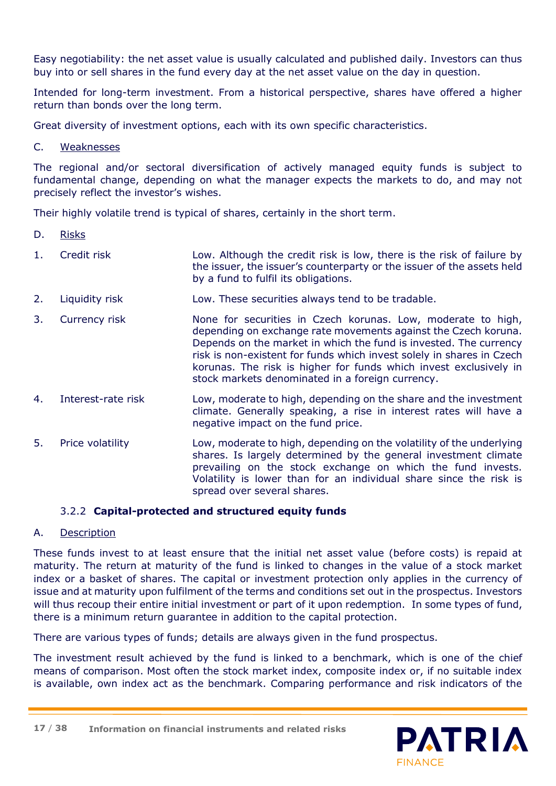Easy negotiability: the net asset value is usually calculated and published daily. Investors can thus buy into or sell shares in the fund every day at the net asset value on the day in question.

Intended for long-term investment. From a historical perspective, shares have offered a higher return than bonds over the long term.

Great diversity of investment options, each with its own specific characteristics.

C. Weaknesses

The regional and/or sectoral diversification of actively managed equity funds is subject to fundamental change, depending on what the manager expects the markets to do, and may not precisely reflect the investor's wishes.

Their highly volatile trend is typical of shares, certainly in the short term.

- D. Risks
- 1. Credit risk Low. Although the credit risk is low, there is the risk of failure by the issuer, the issuer's counterparty or the issuer of the assets held by a fund to fulfil its obligations.
- 2. Liquidity risk Low. These securities always tend to be tradable.
- 3. Currency risk **None for securities in Czech korunas. Low, moderate to high,** depending on exchange rate movements against the Czech koruna. Depends on the market in which the fund is invested. The currency risk is non-existent for funds which invest solely in shares in Czech korunas. The risk is higher for funds which invest exclusively in stock markets denominated in a foreign currency.
- 4. Interest-rate risk Low, moderate to high, depending on the share and the investment climate. Generally speaking, a rise in interest rates will have a negative impact on the fund price.
- 5. Price volatility Low, moderate to high, depending on the volatility of the underlying shares. Is largely determined by the general investment climate prevailing on the stock exchange on which the fund invests. Volatility is lower than for an individual share since the risk is spread over several shares.

# 3.2.2 **Capital-protected and structured equity funds**

# A. Description

These funds invest to at least ensure that the initial net asset value (before costs) is repaid at maturity. The return at maturity of the fund is linked to changes in the value of a stock market index or a basket of shares. The capital or investment protection only applies in the currency of issue and at maturity upon fulfilment of the terms and conditions set out in the prospectus. Investors will thus recoup their entire initial investment or part of it upon redemption. In some types of fund, there is a minimum return guarantee in addition to the capital protection.

There are various types of funds; details are always given in the fund prospectus.

The investment result achieved by the fund is linked to a benchmark, which is one of the chief means of comparison. Most often the stock market index, composite index or, if no suitable index is available, own index act as the benchmark. Comparing performance and risk indicators of the

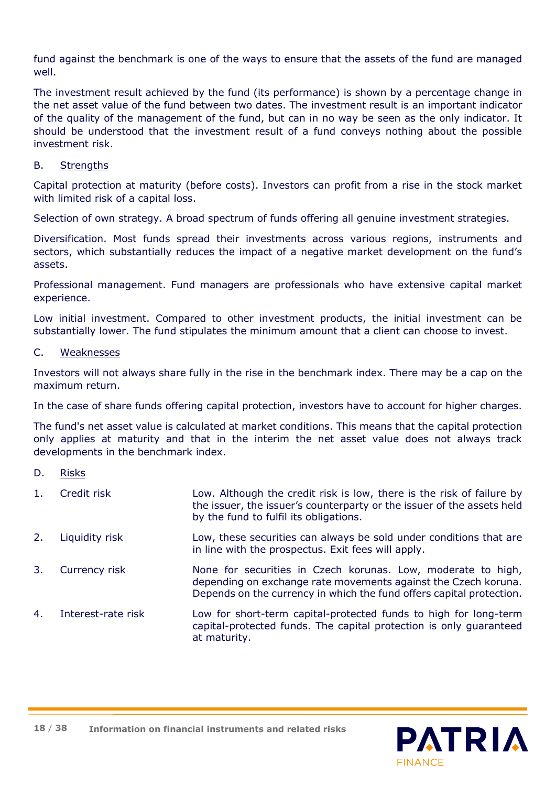fund against the benchmark is one of the ways to ensure that the assets of the fund are managed well.

The investment result achieved by the fund (its performance) is shown by a percentage change in the net asset value of the fund between two dates. The investment result is an important indicator of the quality of the management of the fund, but can in no way be seen as the only indicator. It should be understood that the investment result of a fund conveys nothing about the possible investment risk.

### B. Strengths

Capital protection at maturity (before costs). Investors can profit from a rise in the stock market with limited risk of a capital loss.

Selection of own strategy. A broad spectrum of funds offering all genuine investment strategies.

Diversification. Most funds spread their investments across various regions, instruments and sectors, which substantially reduces the impact of a negative market development on the fund's assets.

Professional management. Fund managers are professionals who have extensive capital market experience.

Low initial investment. Compared to other investment products, the initial investment can be substantially lower. The fund stipulates the minimum amount that a client can choose to invest.

#### C. Weaknesses

Investors will not always share fully in the rise in the benchmark index. There may be a cap on the maximum return.

In the case of share funds offering capital protection, investors have to account for higher charges.

The fund's net asset value is calculated at market conditions. This means that the capital protection only applies at maturity and that in the interim the net asset value does not always track developments in the benchmark index.

- D. Risks
- 1. Credit risk Low. Although the credit risk is low, there is the risk of failure by the issuer, the issuer's counterparty or the issuer of the assets held by the fund to fulfil its obligations.
- 2. Liquidity risk Low, these securities can always be sold under conditions that are in line with the prospectus. Exit fees will apply.
- 3. Currency risk None for securities in Czech korunas. Low, moderate to high, depending on exchange rate movements against the Czech koruna. Depends on the currency in which the fund offers capital protection.
- 4. Interest-rate risk Low for short-term capital-protected funds to high for long-term capital-protected funds. The capital protection is only guaranteed at maturity.



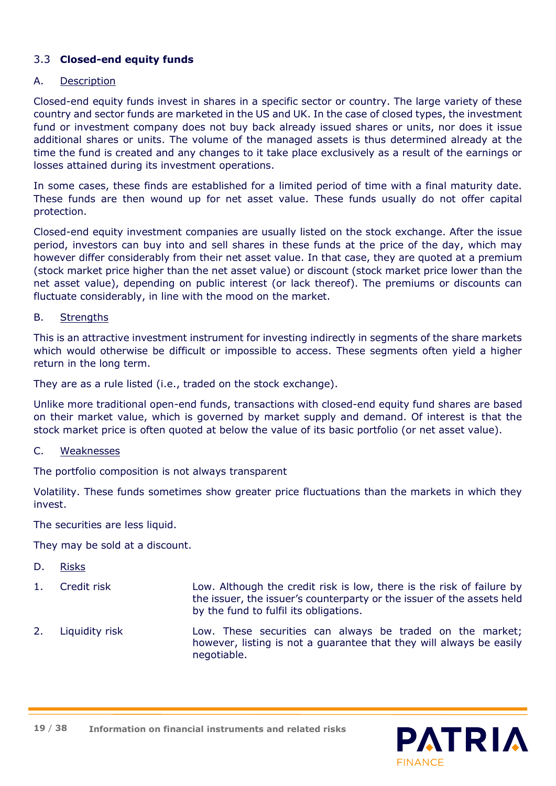# 3.3 **Closed-end equity funds**

#### A. Description

Closed-end equity funds invest in shares in a specific sector or country. The large variety of these country and sector funds are marketed in the US and UK. In the case of closed types, the investment fund or investment company does not buy back already issued shares or units, nor does it issue additional shares or units. The volume of the managed assets is thus determined already at the time the fund is created and any changes to it take place exclusively as a result of the earnings or losses attained during its investment operations.

In some cases, these finds are established for a limited period of time with a final maturity date. These funds are then wound up for net asset value. These funds usually do not offer capital protection.

Closed-end equity investment companies are usually listed on the stock exchange. After the issue period, investors can buy into and sell shares in these funds at the price of the day, which may however differ considerably from their net asset value. In that case, they are quoted at a premium (stock market price higher than the net asset value) or discount (stock market price lower than the net asset value), depending on public interest (or lack thereof). The premiums or discounts can fluctuate considerably, in line with the mood on the market.

#### B. Strengths

This is an attractive investment instrument for investing indirectly in segments of the share markets which would otherwise be difficult or impossible to access. These segments often yield a higher return in the long term.

They are as a rule listed (i.e., traded on the stock exchange).

Unlike more traditional open-end funds, transactions with closed-end equity fund shares are based on their market value, which is governed by market supply and demand. Of interest is that the stock market price is often quoted at below the value of its basic portfolio (or net asset value).

#### C. Weaknesses

The portfolio composition is not always transparent

Volatility. These funds sometimes show greater price fluctuations than the markets in which they invest.

The securities are less liquid.

They may be sold at a discount.

- D. Risks
- 1. Credit risk Low. Although the credit risk is low, there is the risk of failure by the issuer, the issuer's counterparty or the issuer of the assets held by the fund to fulfil its obligations.
- 2. Liquidity risk Low. These securities can always be traded on the market; however, listing is not a guarantee that they will always be easily negotiable.



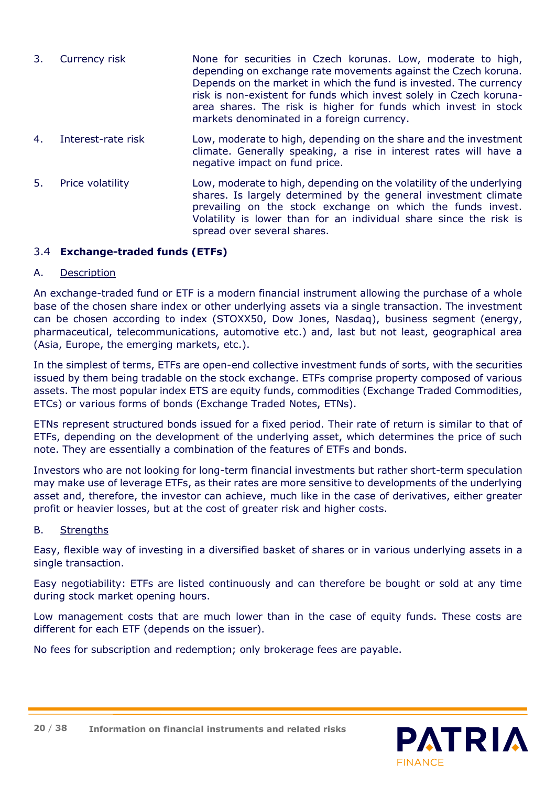| 3. Currency risk | None for securities in Czech korunas. Low, moderate to high,<br>depending on exchange rate movements against the Czech koruna.<br>Depends on the market in which the fund is invested. The currency |
|------------------|-----------------------------------------------------------------------------------------------------------------------------------------------------------------------------------------------------|
|                  | risk is non-existent for funds which invest solely in Czech koruna-<br>area shares. The risk is higher for funds which invest in stock<br>markets denominated in a foreign currency.                |
|                  |                                                                                                                                                                                                     |

- 4. Interest-rate risk Low, moderate to high, depending on the share and the investment climate. Generally speaking, a rise in interest rates will have a negative impact on fund price.
- 5. Price volatility Low, moderate to high, depending on the volatility of the underlying shares. Is largely determined by the general investment climate prevailing on the stock exchange on which the funds invest. Volatility is lower than for an individual share since the risk is spread over several shares.

# 3.4 **Exchange-traded funds (ETFs)**

#### A. Description

An exchange-traded fund or ETF is a modern financial instrument allowing the purchase of a whole base of the chosen share index or other underlying assets via a single transaction. The investment can be chosen according to index (STOXX50, Dow Jones, Nasdaq), business segment (energy, pharmaceutical, telecommunications, automotive etc.) and, last but not least, geographical area (Asia, Europe, the emerging markets, etc.).

In the simplest of terms, ETFs are open-end collective investment funds of sorts, with the securities issued by them being tradable on the stock exchange. ETFs comprise property composed of various assets. The most popular index ETS are equity funds, commodities (Exchange Traded Commodities, ETCs) or various forms of bonds (Exchange Traded Notes, ETNs).

ETNs represent structured bonds issued for a fixed period. Their rate of return is similar to that of ETFs, depending on the development of the underlying asset, which determines the price of such note. They are essentially a combination of the features of ETFs and bonds.

Investors who are not looking for long-term financial investments but rather short-term speculation may make use of leverage ETFs, as their rates are more sensitive to developments of the underlying asset and, therefore, the investor can achieve, much like in the case of derivatives, either greater profit or heavier losses, but at the cost of greater risk and higher costs.

# B. Strengths

Easy, flexible way of investing in a diversified basket of shares or in various underlying assets in a single transaction.

Easy negotiability: ETFs are listed continuously and can therefore be bought or sold at any time during stock market opening hours.

Low management costs that are much lower than in the case of equity funds. These costs are different for each ETF (depends on the issuer).

No fees for subscription and redemption; only brokerage fees are payable.

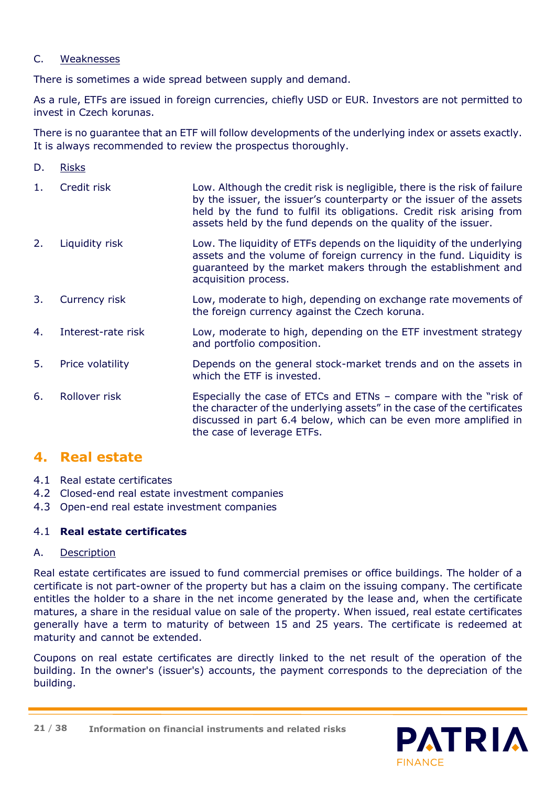### C. Weaknesses

There is sometimes a wide spread between supply and demand.

As a rule, ETFs are issued in foreign currencies, chiefly USD or EUR. Investors are not permitted to invest in Czech korunas.

There is no guarantee that an ETF will follow developments of the underlying index or assets exactly. It is always recommended to review the prospectus thoroughly.

- D. Risks
- 1. Credit risk Low. Although the credit risk is negligible, there is the risk of failure by the issuer, the issuer's counterparty or the issuer of the assets held by the fund to fulfil its obligations. Credit risk arising from assets held by the fund depends on the quality of the issuer.
- 2. Liquidity risk Low. The liquidity of ETFs depends on the liquidity of the underlying assets and the volume of foreign currency in the fund. Liquidity is guaranteed by the market makers through the establishment and acquisition process.
- 3. Currency risk Low, moderate to high, depending on exchange rate movements of the foreign currency against the Czech koruna.
- 4. Interest-rate risk Low, moderate to high, depending on the ETF investment strategy and portfolio composition.
- 5. Price volatility Depends on the general stock-market trends and on the assets in which the FTF is invested.
- 6. Rollover risk Especially the case of ETCs and ETNs compare with the "risk of the character of the underlying assets" in the case of the certificates discussed in part 6.4 below, which can be even more amplified in the case of leverage ETFs.

# **4. Real estate**

- 4.1 Real estate certificates
- 4.2 Closed-end real estate investment companies
- 4.3 Open-end real estate investment companies

# 4.1 **Real estate certificates**

# A. Description

Real estate certificates are issued to fund commercial premises or office buildings. The holder of a certificate is not part-owner of the property but has a claim on the issuing company. The certificate entitles the holder to a share in the net income generated by the lease and, when the certificate matures, a share in the residual value on sale of the property. When issued, real estate certificates generally have a term to maturity of between 15 and 25 years. The certificate is redeemed at maturity and cannot be extended.

Coupons on real estate certificates are directly linked to the net result of the operation of the building. In the owner's (issuer's) accounts, the payment corresponds to the depreciation of the building.

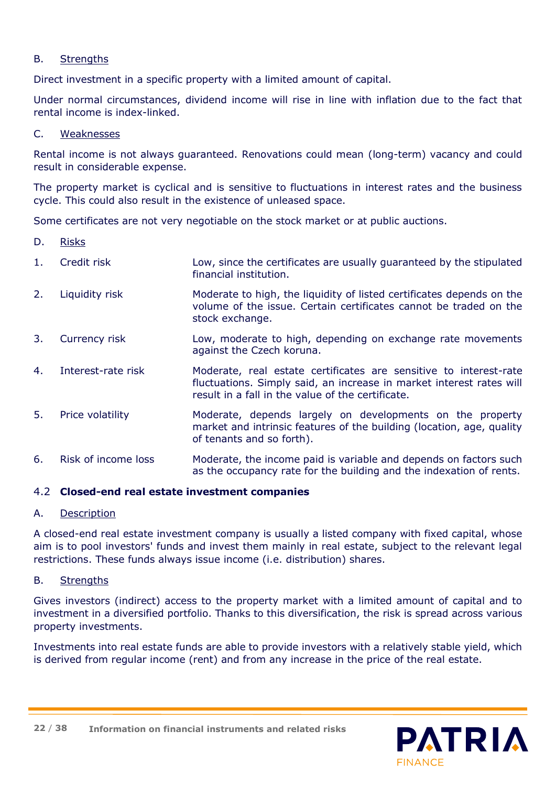### B. Strengths

Direct investment in a specific property with a limited amount of capital.

Under normal circumstances, dividend income will rise in line with inflation due to the fact that rental income is index-linked.

#### C. Weaknesses

Rental income is not always guaranteed. Renovations could mean (long-term) vacancy and could result in considerable expense.

The property market is cyclical and is sensitive to fluctuations in interest rates and the business cycle. This could also result in the existence of unleased space.

Some certificates are not very negotiable on the stock market or at public auctions.

- D. Risks
- 1. Credit risk Low, since the certificates are usually guaranteed by the stipulated financial institution.
- 2. Liquidity risk Moderate to high, the liquidity of listed certificates depends on the volume of the issue. Certain certificates cannot be traded on the stock exchange.
- 3. Currency risk Low, moderate to high, depending on exchange rate movements against the Czech koruna.
- 4. Interest-rate risk Moderate, real estate certificates are sensitive to interest-rate fluctuations. Simply said, an increase in market interest rates will result in a fall in the value of the certificate.
- 5. Price volatility Moderate, depends largely on developments on the property market and intrinsic features of the building (location, age, quality of tenants and so forth).
- 6. Risk of income loss Moderate, the income paid is variable and depends on factors such as the occupancy rate for the building and the indexation of rents.

# 4.2 **Closed-end real estate investment companies**

#### A. Description

A closed-end real estate investment company is usually a listed company with fixed capital, whose aim is to pool investors' funds and invest them mainly in real estate, subject to the relevant legal restrictions. These funds always issue income (i.e. distribution) shares.

#### B. Strengths

Gives investors (indirect) access to the property market with a limited amount of capital and to investment in a diversified portfolio. Thanks to this diversification, the risk is spread across various property investments.

Investments into real estate funds are able to provide investors with a relatively stable yield, which is derived from regular income (rent) and from any increase in the price of the real estate.

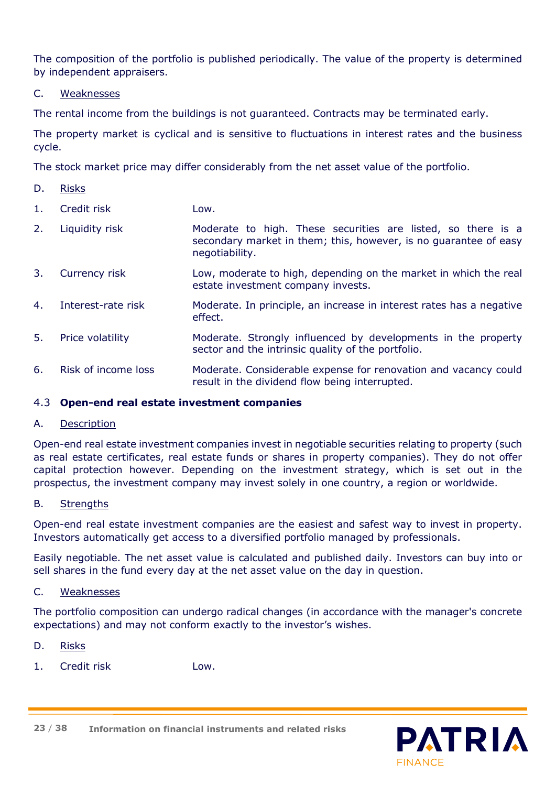The composition of the portfolio is published periodically. The value of the property is determined by independent appraisers.

### C. Weaknesses

The rental income from the buildings is not guaranteed. Contracts may be terminated early.

The property market is cyclical and is sensitive to fluctuations in interest rates and the business cycle.

The stock market price may differ considerably from the net asset value of the portfolio.

D. Risks

1. Credit risk Low.

- 2. Liquidity risk **Moderate to high. These securities are listed, so there is a** secondary market in them; this, however, is no guarantee of easy negotiability.
- 3. Currency risk Low, moderate to high, depending on the market in which the real estate investment company invests.
- 4. Interest-rate risk Moderate. In principle, an increase in interest rates has a negative effect.
- 5. Price volatility Moderate. Strongly influenced by developments in the property sector and the intrinsic quality of the portfolio.
- 6. Risk of income loss Moderate. Considerable expense for renovation and vacancy could result in the dividend flow being interrupted.

# 4.3 **Open-end real estate investment companies**

#### A. Description

Open-end real estate investment companies invest in negotiable securities relating to property (such as real estate certificates, real estate funds or shares in property companies). They do not offer capital protection however. Depending on the investment strategy, which is set out in the prospectus, the investment company may invest solely in one country, a region or worldwide.

#### B. Strengths

Open-end real estate investment companies are the easiest and safest way to invest in property. Investors automatically get access to a diversified portfolio managed by professionals.

Easily negotiable. The net asset value is calculated and published daily. Investors can buy into or sell shares in the fund every day at the net asset value on the day in question.

#### C. Weaknesses

The portfolio composition can undergo radical changes (in accordance with the manager's concrete expectations) and may not conform exactly to the investor's wishes.

# D. Risks

1. Credit risk Low.



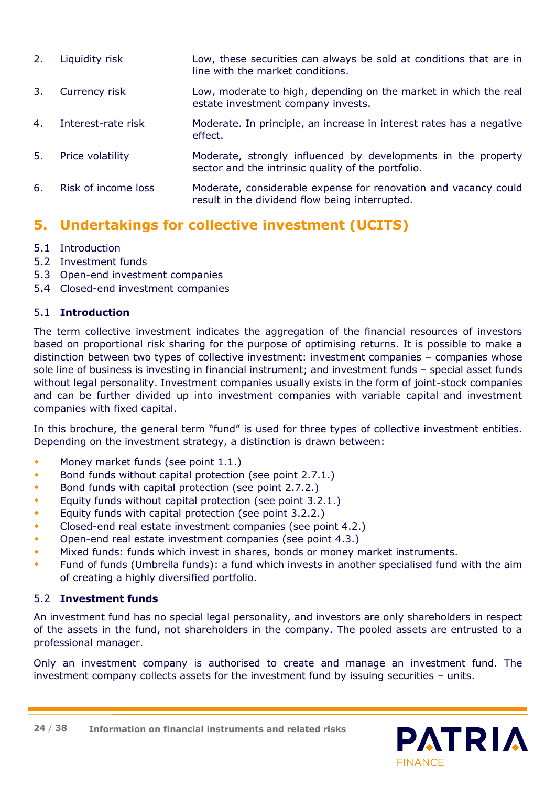2. Liquidity risk Low, these securities can always be sold at conditions that are in line with the market conditions. 3. Currency risk Low, moderate to high, depending on the market in which the real estate investment company invests. 4. Interest-rate risk Moderate. In principle, an increase in interest rates has a negative effect. 5. Price volatility Moderate, strongly influenced by developments in the property sector and the intrinsic quality of the portfolio. 6. Risk of income loss Moderate, considerable expense for renovation and vacancy could result in the dividend flow being interrupted.

# **5. Undertakings for collective investment (UCITS)**

# 5.1 Introduction

- 5.2 Investment funds
- 5.3 Open-end investment companies
- 5.4 Closed-end investment companies

# 5.1 **Introduction**

The term collective investment indicates the aggregation of the financial resources of investors based on proportional risk sharing for the purpose of optimising returns. It is possible to make a distinction between two types of collective investment: investment companies – companies whose sole line of business is investing in financial instrument; and investment funds – special asset funds without legal personality. Investment companies usually exists in the form of joint-stock companies and can be further divided up into investment companies with variable capital and investment companies with fixed capital.

In this brochure, the general term "fund" is used for three types of collective investment entities. Depending on the investment strategy, a distinction is drawn between:

- Money market funds (see point 1.1.)
- Bond funds without capital protection (see point 2.7.1.)
- Bond funds with capital protection (see point 2.7.2.)
- Equity funds without capital protection (see point 3.2.1.)
- Equity funds with capital protection (see point 3.2.2.)
- Closed-end real estate investment companies (see point 4.2.)
- Open-end real estate investment companies (see point 4.3.)
- Mixed funds: funds which invest in shares, bonds or money market instruments.
- Fund of funds (Umbrella funds): a fund which invests in another specialised fund with the aim of creating a highly diversified portfolio.

# 5.2 **Investment funds**

An investment fund has no special legal personality, and investors are only shareholders in respect of the assets in the fund, not shareholders in the company. The pooled assets are entrusted to a professional manager.

Only an investment company is authorised to create and manage an investment fund. The investment company collects assets for the investment fund by issuing securities – units.

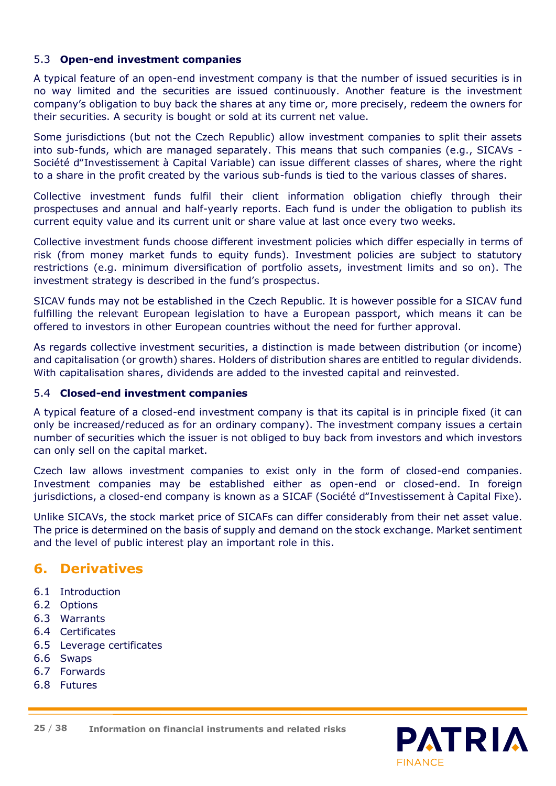# 5.3 **Open-end investment companies**

A typical feature of an open-end investment company is that the number of issued securities is in no way limited and the securities are issued continuously. Another feature is the investment company's obligation to buy back the shares at any time or, more precisely, redeem the owners for their securities. A security is bought or sold at its current net value.

Some jurisdictions (but not the Czech Republic) allow investment companies to split their assets into sub-funds, which are managed separately. This means that such companies (e.g., SICAVs - Société d"Investissement à Capital Variable) can issue different classes of shares, where the right to a share in the profit created by the various sub-funds is tied to the various classes of shares.

Collective investment funds fulfil their client information obligation chiefly through their prospectuses and annual and half-yearly reports. Each fund is under the obligation to publish its current equity value and its current unit or share value at last once every two weeks.

Collective investment funds choose different investment policies which differ especially in terms of risk (from money market funds to equity funds). Investment policies are subject to statutory restrictions (e.g. minimum diversification of portfolio assets, investment limits and so on). The investment strategy is described in the fund's prospectus.

SICAV funds may not be established in the Czech Republic. It is however possible for a SICAV fund fulfilling the relevant European legislation to have a European passport, which means it can be offered to investors in other European countries without the need for further approval.

As regards collective investment securities, a distinction is made between distribution (or income) and capitalisation (or growth) shares. Holders of distribution shares are entitled to regular dividends. With capitalisation shares, dividends are added to the invested capital and reinvested.

#### 5.4 **Closed-end investment companies**

A typical feature of a closed-end investment company is that its capital is in principle fixed (it can only be increased/reduced as for an ordinary company). The investment company issues a certain number of securities which the issuer is not obliged to buy back from investors and which investors can only sell on the capital market.

Czech law allows investment companies to exist only in the form of closed-end companies. Investment companies may be established either as open-end or closed-end. In foreign jurisdictions, a closed-end company is known as a SICAF (Société d"Investissement à Capital Fixe).

Unlike SICAVs, the stock market price of SICAFs can differ considerably from their net asset value. The price is determined on the basis of supply and demand on the stock exchange. Market sentiment and the level of public interest play an important role in this.

# **6. Derivatives**

- 6.1 Introduction
- 6.2 Options
- 6.3 Warrants
- 6.4 Certificates
- 6.5 Leverage certificates
- 6.6 Swaps
- 6.7 Forwards
- 6.8 Futures



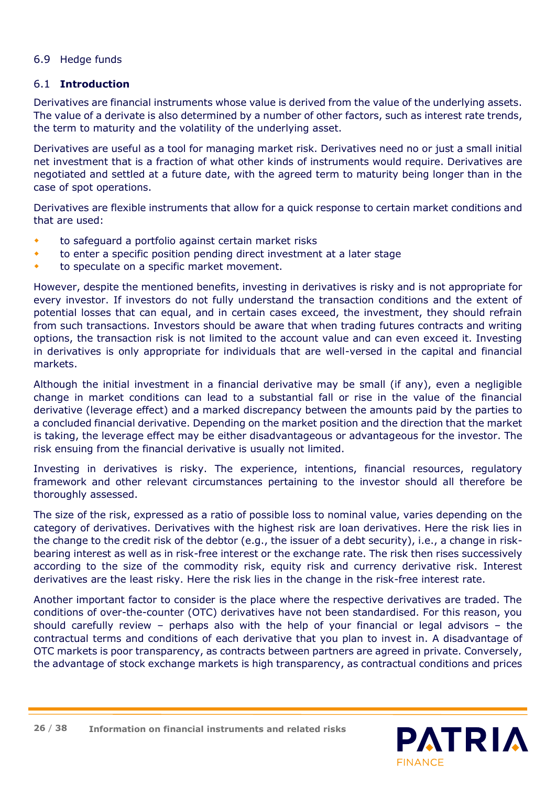# 6.9 Hedge funds

#### 6.1 **Introduction**

Derivatives are financial instruments whose value is derived from the value of the underlying assets. The value of a derivate is also determined by a number of other factors, such as interest rate trends, the term to maturity and the volatility of the underlying asset.

Derivatives are useful as a tool for managing market risk. Derivatives need no or just a small initial net investment that is a fraction of what other kinds of instruments would require. Derivatives are negotiated and settled at a future date, with the agreed term to maturity being longer than in the case of spot operations.

Derivatives are flexible instruments that allow for a quick response to certain market conditions and that are used:

- to safeguard a portfolio against certain market risks
- to enter a specific position pending direct investment at a later stage
- to speculate on a specific market movement.

However, despite the mentioned benefits, investing in derivatives is risky and is not appropriate for every investor. If investors do not fully understand the transaction conditions and the extent of potential losses that can equal, and in certain cases exceed, the investment, they should refrain from such transactions. Investors should be aware that when trading futures contracts and writing options, the transaction risk is not limited to the account value and can even exceed it. Investing in derivatives is only appropriate for individuals that are well-versed in the capital and financial markets.

Although the initial investment in a financial derivative may be small (if any), even a negligible change in market conditions can lead to a substantial fall or rise in the value of the financial derivative (leverage effect) and a marked discrepancy between the amounts paid by the parties to a concluded financial derivative. Depending on the market position and the direction that the market is taking, the leverage effect may be either disadvantageous or advantageous for the investor. The risk ensuing from the financial derivative is usually not limited.

Investing in derivatives is risky. The experience, intentions, financial resources, regulatory framework and other relevant circumstances pertaining to the investor should all therefore be thoroughly assessed.

The size of the risk, expressed as a ratio of possible loss to nominal value, varies depending on the category of derivatives. Derivatives with the highest risk are loan derivatives. Here the risk lies in the change to the credit risk of the debtor (e.g., the issuer of a debt security), i.e., a change in riskbearing interest as well as in risk-free interest or the exchange rate. The risk then rises successively according to the size of the commodity risk, equity risk and currency derivative risk. Interest derivatives are the least risky. Here the risk lies in the change in the risk-free interest rate.

Another important factor to consider is the place where the respective derivatives are traded. The conditions of over-the-counter (OTC) derivatives have not been standardised. For this reason, you should carefully review – perhaps also with the help of your financial or legal advisors – the contractual terms and conditions of each derivative that you plan to invest in. A disadvantage of OTC markets is poor transparency, as contracts between partners are agreed in private. Conversely, the advantage of stock exchange markets is high transparency, as contractual conditions and prices

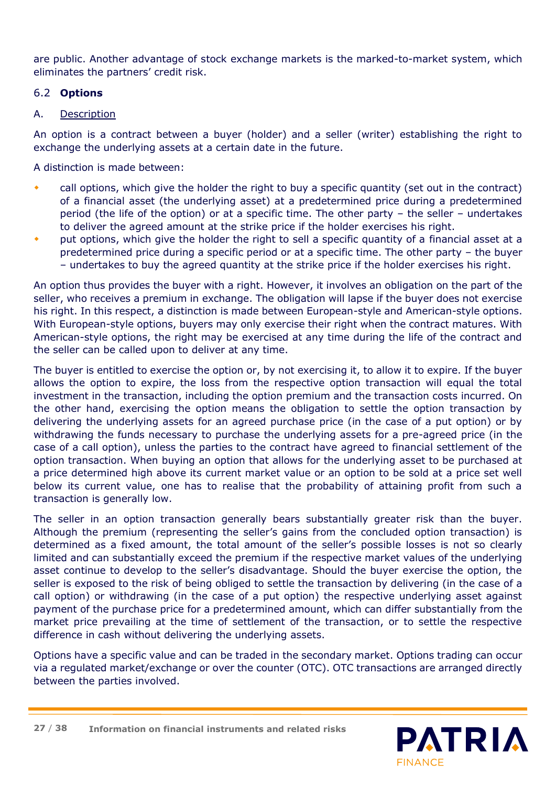are public. Another advantage of stock exchange markets is the marked-to-market system, which eliminates the partners' credit risk.

# 6.2 **Options**

### A. Description

An option is a contract between a buyer (holder) and a seller (writer) establishing the right to exchange the underlying assets at a certain date in the future.

A distinction is made between:

- call options, which give the holder the right to buy a specific quantity (set out in the contract) of a financial asset (the underlying asset) at a predetermined price during a predetermined period (the life of the option) or at a specific time. The other party – the seller – undertakes to deliver the agreed amount at the strike price if the holder exercises his right.
- put options, which give the holder the right to sell a specific quantity of a financial asset at a predetermined price during a specific period or at a specific time. The other party – the buyer – undertakes to buy the agreed quantity at the strike price if the holder exercises his right.

An option thus provides the buyer with a right. However, it involves an obligation on the part of the seller, who receives a premium in exchange. The obligation will lapse if the buyer does not exercise his right. In this respect, a distinction is made between European-style and American-style options. With European-style options, buyers may only exercise their right when the contract matures. With American-style options, the right may be exercised at any time during the life of the contract and the seller can be called upon to deliver at any time.

The buyer is entitled to exercise the option or, by not exercising it, to allow it to expire. If the buyer allows the option to expire, the loss from the respective option transaction will equal the total investment in the transaction, including the option premium and the transaction costs incurred. On the other hand, exercising the option means the obligation to settle the option transaction by delivering the underlying assets for an agreed purchase price (in the case of a put option) or by withdrawing the funds necessary to purchase the underlying assets for a pre-agreed price (in the case of a call option), unless the parties to the contract have agreed to financial settlement of the option transaction. When buying an option that allows for the underlying asset to be purchased at a price determined high above its current market value or an option to be sold at a price set well below its current value, one has to realise that the probability of attaining profit from such a transaction is generally low.

The seller in an option transaction generally bears substantially greater risk than the buyer. Although the premium (representing the seller's gains from the concluded option transaction) is determined as a fixed amount, the total amount of the seller's possible losses is not so clearly limited and can substantially exceed the premium if the respective market values of the underlying asset continue to develop to the seller's disadvantage. Should the buyer exercise the option, the seller is exposed to the risk of being obliged to settle the transaction by delivering (in the case of a call option) or withdrawing (in the case of a put option) the respective underlying asset against payment of the purchase price for a predetermined amount, which can differ substantially from the market price prevailing at the time of settlement of the transaction, or to settle the respective difference in cash without delivering the underlying assets.

Options have a specific value and can be traded in the secondary market. Options trading can occur via a regulated market/exchange or over the counter (OTC). OTC transactions are arranged directly between the parties involved.

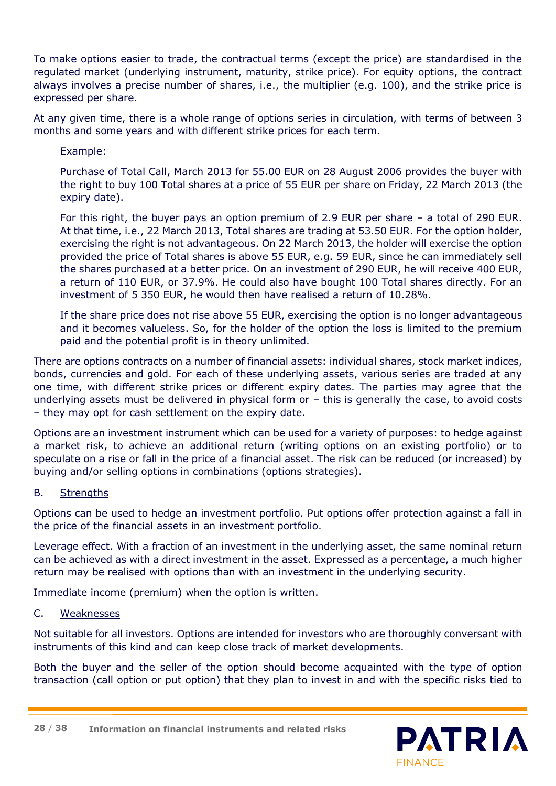To make options easier to trade, the contractual terms (except the price) are standardised in the regulated market (underlying instrument, maturity, strike price). For equity options, the contract always involves a precise number of shares, i.e., the multiplier (e.g. 100), and the strike price is expressed per share.

At any given time, there is a whole range of options series in circulation, with terms of between 3 months and some years and with different strike prices for each term.

Example:

Purchase of Total Call, March 2013 for 55.00 EUR on 28 August 2006 provides the buyer with the right to buy 100 Total shares at a price of 55 EUR per share on Friday, 22 March 2013 (the expiry date).

For this right, the buyer pays an option premium of 2.9 EUR per share – a total of 290 EUR. At that time, i.e., 22 March 2013, Total shares are trading at 53.50 EUR. For the option holder, exercising the right is not advantageous. On 22 March 2013, the holder will exercise the option provided the price of Total shares is above 55 EUR, e.g. 59 EUR, since he can immediately sell the shares purchased at a better price. On an investment of 290 EUR, he will receive 400 EUR, a return of 110 EUR, or 37.9%. He could also have bought 100 Total shares directly. For an investment of 5 350 EUR, he would then have realised a return of 10.28%.

If the share price does not rise above 55 EUR, exercising the option is no longer advantageous and it becomes valueless. So, for the holder of the option the loss is limited to the premium paid and the potential profit is in theory unlimited.

There are options contracts on a number of financial assets: individual shares, stock market indices, bonds, currencies and gold. For each of these underlying assets, various series are traded at any one time, with different strike prices or different expiry dates. The parties may agree that the underlying assets must be delivered in physical form or – this is generally the case, to avoid costs – they may opt for cash settlement on the expiry date.

Options are an investment instrument which can be used for a variety of purposes: to hedge against a market risk, to achieve an additional return (writing options on an existing portfolio) or to speculate on a rise or fall in the price of a financial asset. The risk can be reduced (or increased) by buying and/or selling options in combinations (options strategies).

# B. Strengths

Options can be used to hedge an investment portfolio. Put options offer protection against a fall in the price of the financial assets in an investment portfolio.

Leverage effect. With a fraction of an investment in the underlying asset, the same nominal return can be achieved as with a direct investment in the asset. Expressed as a percentage, a much higher return may be realised with options than with an investment in the underlying security.

Immediate income (premium) when the option is written.

#### C. Weaknesses

Not suitable for all investors. Options are intended for investors who are thoroughly conversant with instruments of this kind and can keep close track of market developments.

Both the buyer and the seller of the option should become acquainted with the type of option transaction (call option or put option) that they plan to invest in and with the specific risks tied to

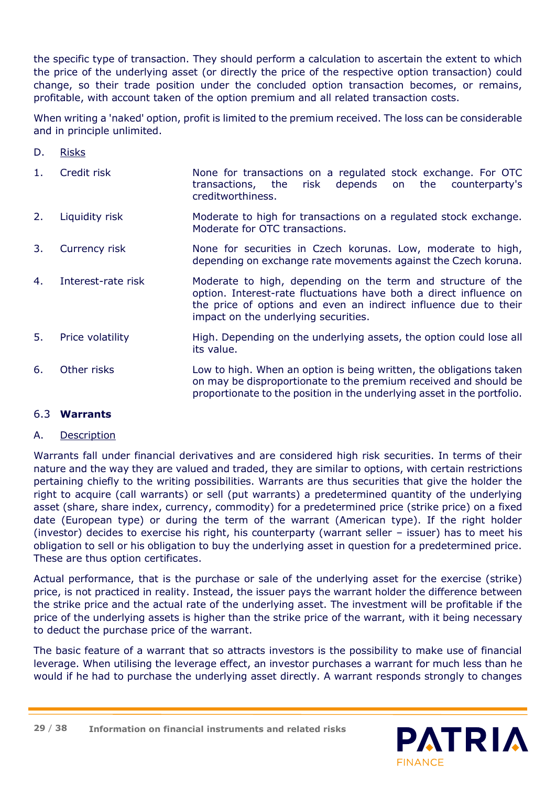the specific type of transaction. They should perform a calculation to ascertain the extent to which the price of the underlying asset (or directly the price of the respective option transaction) could change, so their trade position under the concluded option transaction becomes, or remains, profitable, with account taken of the option premium and all related transaction costs.

When writing a 'naked' option, profit is limited to the premium received. The loss can be considerable and in principle unlimited.

- D. Risks
- 1. Credit risk None for transactions on a regulated stock exchange. For OTC transactions, the risk depends on the counterparty's creditworthiness.
- 2. Liquidity risk Moderate to high for transactions on a regulated stock exchange. Moderate for OTC transactions.
- 3. Currency risk **None for securities in Czech korunas. Low, moderate to high,** depending on exchange rate movements against the Czech koruna.
- 4. Interest-rate risk Moderate to high, depending on the term and structure of the option. Interest-rate fluctuations have both a direct influence on the price of options and even an indirect influence due to their impact on the underlying securities.
- 5. Price volatility High. Depending on the underlying assets, the option could lose all its value.
- 6. Other risks Low to high. When an option is being written, the obligations taken on may be disproportionate to the premium received and should be proportionate to the position in the underlying asset in the portfolio.

# 6.3 **Warrants**

# A. Description

Warrants fall under financial derivatives and are considered high risk securities. In terms of their nature and the way they are valued and traded, they are similar to options, with certain restrictions pertaining chiefly to the writing possibilities. Warrants are thus securities that give the holder the right to acquire (call warrants) or sell (put warrants) a predetermined quantity of the underlying asset (share, share index, currency, commodity) for a predetermined price (strike price) on a fixed date (European type) or during the term of the warrant (American type). If the right holder (investor) decides to exercise his right, his counterparty (warrant seller – issuer) has to meet his obligation to sell or his obligation to buy the underlying asset in question for a predetermined price. These are thus option certificates.

Actual performance, that is the purchase or sale of the underlying asset for the exercise (strike) price, is not practiced in reality. Instead, the issuer pays the warrant holder the difference between the strike price and the actual rate of the underlying asset. The investment will be profitable if the price of the underlying assets is higher than the strike price of the warrant, with it being necessary to deduct the purchase price of the warrant.

The basic feature of a warrant that so attracts investors is the possibility to make use of financial leverage. When utilising the leverage effect, an investor purchases a warrant for much less than he would if he had to purchase the underlying asset directly. A warrant responds strongly to changes

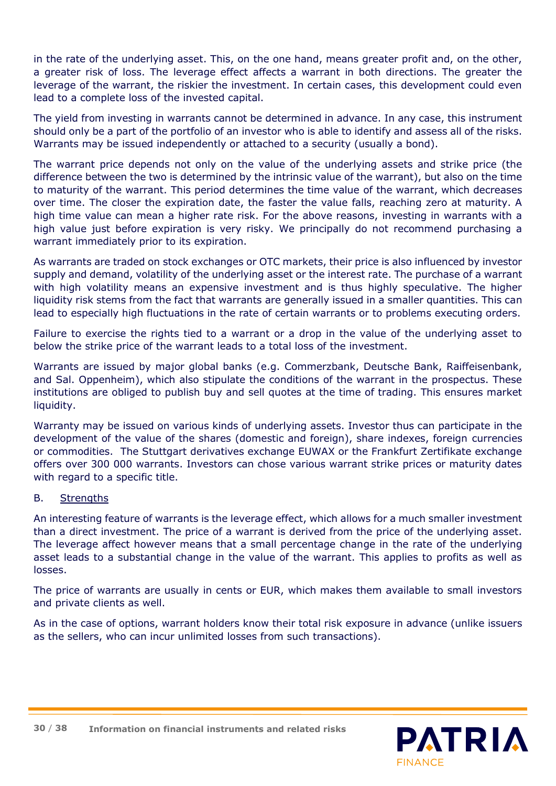in the rate of the underlying asset. This, on the one hand, means greater profit and, on the other, a greater risk of loss. The leverage effect affects a warrant in both directions. The greater the leverage of the warrant, the riskier the investment. In certain cases, this development could even lead to a complete loss of the invested capital.

The yield from investing in warrants cannot be determined in advance. In any case, this instrument should only be a part of the portfolio of an investor who is able to identify and assess all of the risks. Warrants may be issued independently or attached to a security (usually a bond).

The warrant price depends not only on the value of the underlying assets and strike price (the difference between the two is determined by the intrinsic value of the warrant), but also on the time to maturity of the warrant. This period determines the time value of the warrant, which decreases over time. The closer the expiration date, the faster the value falls, reaching zero at maturity. A high time value can mean a higher rate risk. For the above reasons, investing in warrants with a high value just before expiration is very risky. We principally do not recommend purchasing a warrant immediately prior to its expiration.

As warrants are traded on stock exchanges or OTC markets, their price is also influenced by investor supply and demand, volatility of the underlying asset or the interest rate. The purchase of a warrant with high volatility means an expensive investment and is thus highly speculative. The higher liquidity risk stems from the fact that warrants are generally issued in a smaller quantities. This can lead to especially high fluctuations in the rate of certain warrants or to problems executing orders.

Failure to exercise the rights tied to a warrant or a drop in the value of the underlying asset to below the strike price of the warrant leads to a total loss of the investment.

Warrants are issued by major global banks (e.g. Commerzbank, Deutsche Bank, Raiffeisenbank, and Sal. Oppenheim), which also stipulate the conditions of the warrant in the prospectus. These institutions are obliged to publish buy and sell quotes at the time of trading. This ensures market liquidity.

Warranty may be issued on various kinds of underlying assets. Investor thus can participate in the development of the value of the shares (domestic and foreign), share indexes, foreign currencies or commodities. The Stuttgart derivatives exchange EUWAX or the Frankfurt Zertifikate exchange offers over 300 000 warrants. Investors can chose various warrant strike prices or maturity dates with regard to a specific title.

#### B. Strengths

An interesting feature of warrants is the leverage effect, which allows for a much smaller investment than a direct investment. The price of a warrant is derived from the price of the underlying asset. The leverage affect however means that a small percentage change in the rate of the underlying asset leads to a substantial change in the value of the warrant. This applies to profits as well as losses.

The price of warrants are usually in cents or EUR, which makes them available to small investors and private clients as well.

As in the case of options, warrant holders know their total risk exposure in advance (unlike issuers as the sellers, who can incur unlimited losses from such transactions).



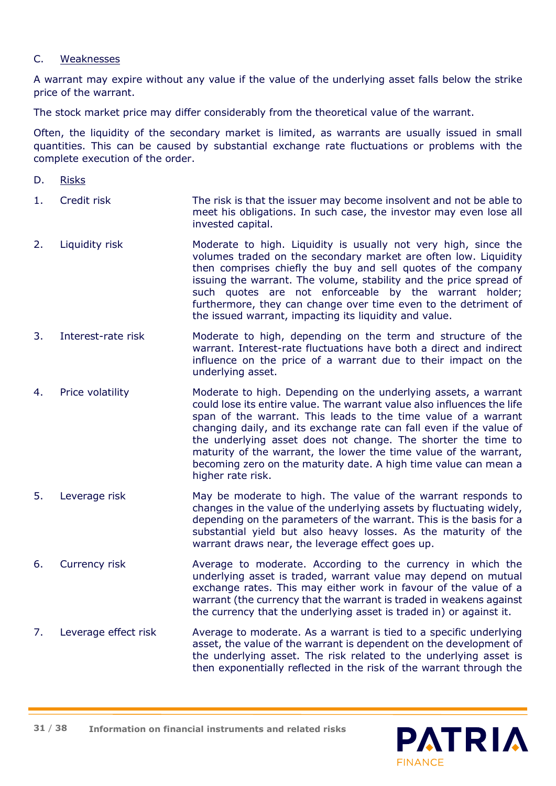#### C. Weaknesses

A warrant may expire without any value if the value of the underlying asset falls below the strike price of the warrant.

The stock market price may differ considerably from the theoretical value of the warrant.

Often, the liquidity of the secondary market is limited, as warrants are usually issued in small quantities. This can be caused by substantial exchange rate fluctuations or problems with the complete execution of the order.

- D. Risks
- 1. Credit risk The risk is that the issuer may become insolvent and not be able to meet his obligations. In such case, the investor may even lose all invested capital.
- 2. Liquidity risk Moderate to high. Liquidity is usually not very high, since the volumes traded on the secondary market are often low. Liquidity then comprises chiefly the buy and sell quotes of the company issuing the warrant. The volume, stability and the price spread of such quotes are not enforceable by the warrant holder; furthermore, they can change over time even to the detriment of the issued warrant, impacting its liquidity and value.
- 3. Interest-rate risk Moderate to high, depending on the term and structure of the warrant. Interest-rate fluctuations have both a direct and indirect influence on the price of a warrant due to their impact on the underlying asset.
- 4. Price volatility Moderate to high. Depending on the underlying assets, a warrant could lose its entire value. The warrant value also influences the life span of the warrant. This leads to the time value of a warrant changing daily, and its exchange rate can fall even if the value of the underlying asset does not change. The shorter the time to maturity of the warrant, the lower the time value of the warrant, becoming zero on the maturity date. A high time value can mean a higher rate risk.
- 5. Leverage risk May be moderate to high. The value of the warrant responds to changes in the value of the underlying assets by fluctuating widely, depending on the parameters of the warrant. This is the basis for a substantial yield but also heavy losses. As the maturity of the warrant draws near, the leverage effect goes up.
- 6. Currency risk Average to moderate. According to the currency in which the underlying asset is traded, warrant value may depend on mutual exchange rates. This may either work in favour of the value of a warrant (the currency that the warrant is traded in weakens against the currency that the underlying asset is traded in) or against it.
- 7. Leverage effect risk Average to moderate. As a warrant is tied to a specific underlying asset, the value of the warrant is dependent on the development of the underlying asset. The risk related to the underlying asset is then exponentially reflected in the risk of the warrant through the

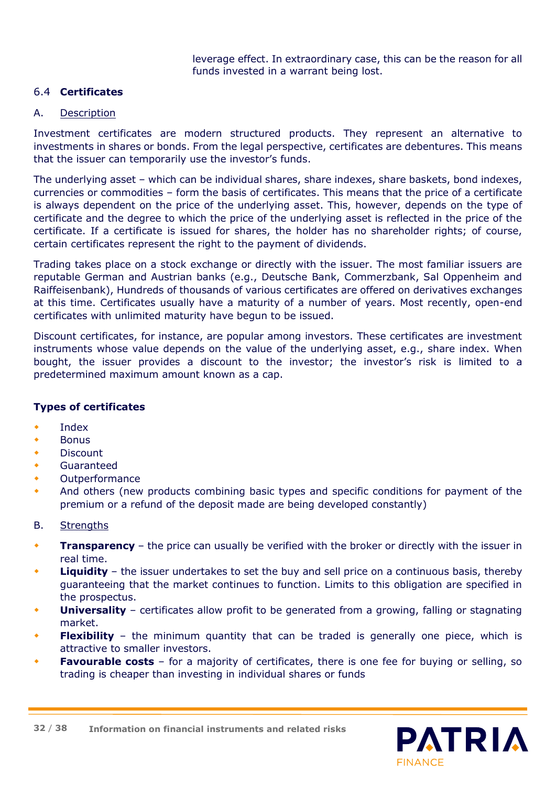leverage effect. In extraordinary case, this can be the reason for all funds invested in a warrant being lost.

# 6.4 **Certificates**

#### A. Description

Investment certificates are modern structured products. They represent an alternative to investments in shares or bonds. From the legal perspective, certificates are debentures. This means that the issuer can temporarily use the investor's funds.

The underlying asset – which can be individual shares, share indexes, share baskets, bond indexes, currencies or commodities – form the basis of certificates. This means that the price of a certificate is always dependent on the price of the underlying asset. This, however, depends on the type of certificate and the degree to which the price of the underlying asset is reflected in the price of the certificate. If a certificate is issued for shares, the holder has no shareholder rights; of course, certain certificates represent the right to the payment of dividends.

Trading takes place on a stock exchange or directly with the issuer. The most familiar issuers are reputable German and Austrian banks (e.g., Deutsche Bank, Commerzbank, Sal Oppenheim and Raiffeisenbank), Hundreds of thousands of various certificates are offered on derivatives exchanges at this time. Certificates usually have a maturity of a number of years. Most recently, open-end certificates with unlimited maturity have begun to be issued.

Discount certificates, for instance, are popular among investors. These certificates are investment instruments whose value depends on the value of the underlying asset, e.g., share index. When bought, the issuer provides a discount to the investor; the investor's risk is limited to a predetermined maximum amount known as a cap.

# **Types of certificates**

- Index
- **Bonus**
- **Discount**
- Guaranteed
- Outperformance
- And others (new products combining basic types and specific conditions for payment of the premium or a refund of the deposit made are being developed constantly)

#### B. Strengths

- **Transparency**  the price can usually be verified with the broker or directly with the issuer in real time.
- **Liquidity**  the issuer undertakes to set the buy and sell price on a continuous basis, thereby guaranteeing that the market continues to function. Limits to this obligation are specified in the prospectus.
- **Universality**  certificates allow profit to be generated from a growing, falling or stagnating market.
- **Flexibility**  the minimum quantity that can be traded is generally one piece, which is attractive to smaller investors.
- **Favourable costs** for a majority of certificates, there is one fee for buying or selling, so trading is cheaper than investing in individual shares or funds

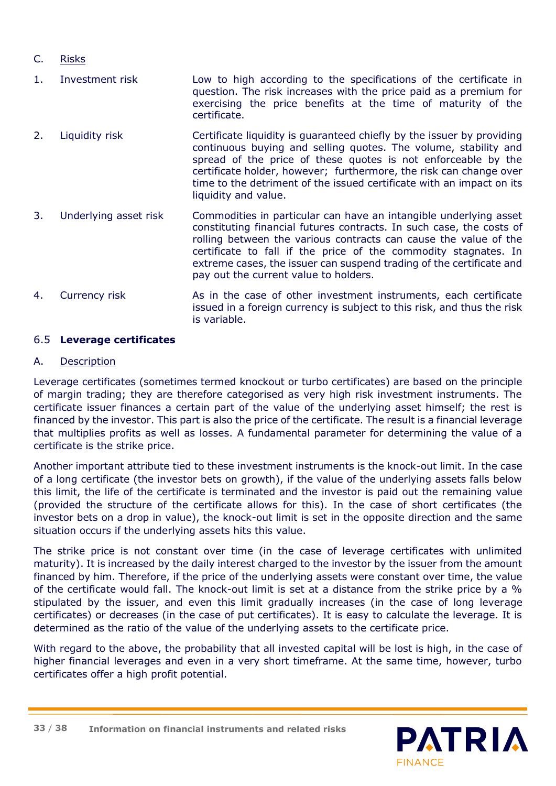# C. Risks

- 1. Investment risk Low to high according to the specifications of the certificate in question. The risk increases with the price paid as a premium for exercising the price benefits at the time of maturity of the certificate.
- 2. Liquidity risk Certificate liquidity is guaranteed chiefly by the issuer by providing continuous buying and selling quotes. The volume, stability and spread of the price of these quotes is not enforceable by the certificate holder, however; furthermore, the risk can change over time to the detriment of the issued certificate with an impact on its liquidity and value.
- 3. Underlying asset risk Commodities in particular can have an intangible underlying asset constituting financial futures contracts. In such case, the costs of rolling between the various contracts can cause the value of the certificate to fall if the price of the commodity stagnates. In extreme cases, the issuer can suspend trading of the certificate and pay out the current value to holders.
- 4. Currency risk As in the case of other investment instruments, each certificate issued in a foreign currency is subject to this risk, and thus the risk is variable.

# 6.5 **Leverage certificates**

# A. Description

Leverage certificates (sometimes termed knockout or turbo certificates) are based on the principle of margin trading; they are therefore categorised as very high risk investment instruments. The certificate issuer finances a certain part of the value of the underlying asset himself; the rest is financed by the investor. This part is also the price of the certificate. The result is a financial leverage that multiplies profits as well as losses. A fundamental parameter for determining the value of a certificate is the strike price.

Another important attribute tied to these investment instruments is the knock-out limit. In the case of a long certificate (the investor bets on growth), if the value of the underlying assets falls below this limit, the life of the certificate is terminated and the investor is paid out the remaining value (provided the structure of the certificate allows for this). In the case of short certificates (the investor bets on a drop in value), the knock-out limit is set in the opposite direction and the same situation occurs if the underlying assets hits this value.

The strike price is not constant over time (in the case of leverage certificates with unlimited maturity). It is increased by the daily interest charged to the investor by the issuer from the amount financed by him. Therefore, if the price of the underlying assets were constant over time, the value of the certificate would fall. The knock-out limit is set at a distance from the strike price by a % stipulated by the issuer, and even this limit gradually increases (in the case of long leverage certificates) or decreases (in the case of put certificates). It is easy to calculate the leverage. It is determined as the ratio of the value of the underlying assets to the certificate price.

With regard to the above, the probability that all invested capital will be lost is high, in the case of higher financial leverages and even in a very short timeframe. At the same time, however, turbo certificates offer a high profit potential.

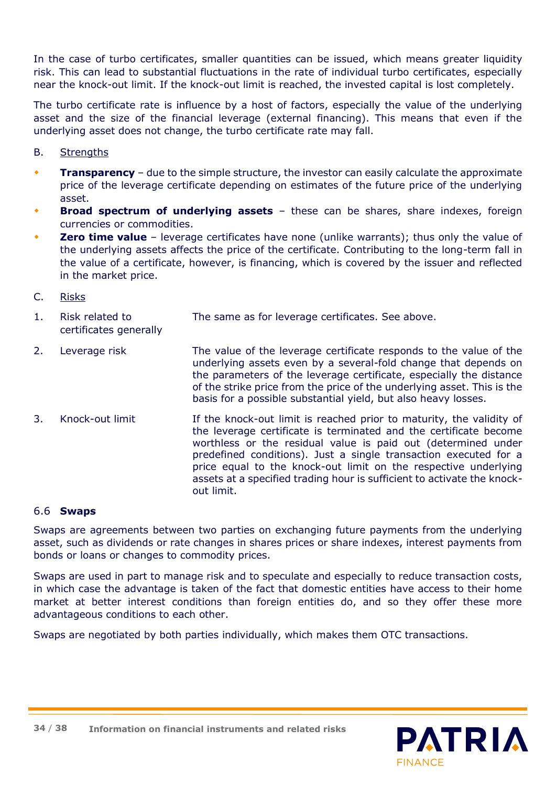In the case of turbo certificates, smaller quantities can be issued, which means greater liquidity risk. This can lead to substantial fluctuations in the rate of individual turbo certificates, especially near the knock-out limit. If the knock-out limit is reached, the invested capital is lost completely.

The turbo certificate rate is influence by a host of factors, especially the value of the underlying asset and the size of the financial leverage (external financing). This means that even if the underlying asset does not change, the turbo certificate rate may fall.

- B. Strengths
- **Transparency**  due to the simple structure, the investor can easily calculate the approximate price of the leverage certificate depending on estimates of the future price of the underlying asset.
- **Broad spectrum of underlying assets**  these can be shares, share indexes, foreign currencies or commodities.
- **Zero time value** leverage certificates have none (unlike warrants); thus only the value of the underlying assets affects the price of the certificate. Contributing to the long-term fall in the value of a certificate, however, is financing, which is covered by the issuer and reflected in the market price.
- C. Risks
- 1. Risk related to The same as for leverage certificates. See above. certificates generally
- 2. Leverage risk The value of the leverage certificate responds to the value of the underlying assets even by a several-fold change that depends on the parameters of the leverage certificate, especially the distance of the strike price from the price of the underlying asset. This is the basis for a possible substantial yield, but also heavy losses.
- 3. Knock-out limit If the knock-out limit is reached prior to maturity, the validity of the leverage certificate is terminated and the certificate become worthless or the residual value is paid out (determined under predefined conditions). Just a single transaction executed for a price equal to the knock-out limit on the respective underlying assets at a specified trading hour is sufficient to activate the knockout limit.

#### 6.6 **Swaps**

Swaps are agreements between two parties on exchanging future payments from the underlying asset, such as dividends or rate changes in shares prices or share indexes, interest payments from bonds or loans or changes to commodity prices.

Swaps are used in part to manage risk and to speculate and especially to reduce transaction costs, in which case the advantage is taken of the fact that domestic entities have access to their home market at better interest conditions than foreign entities do, and so they offer these more advantageous conditions to each other.

Swaps are negotiated by both parties individually, which makes them OTC transactions.

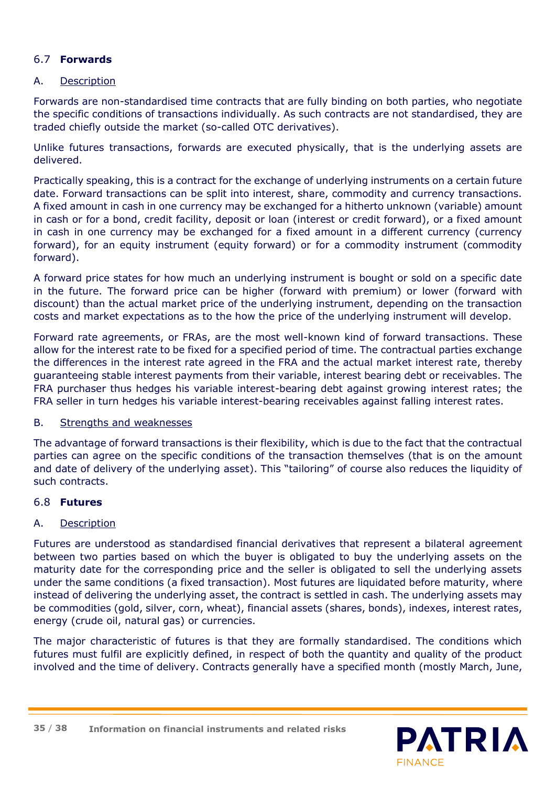# 6.7 **Forwards**

#### A. Description

Forwards are non-standardised time contracts that are fully binding on both parties, who negotiate the specific conditions of transactions individually. As such contracts are not standardised, they are traded chiefly outside the market (so-called OTC derivatives).

Unlike futures transactions, forwards are executed physically, that is the underlying assets are delivered.

Practically speaking, this is a contract for the exchange of underlying instruments on a certain future date. Forward transactions can be split into interest, share, commodity and currency transactions. A fixed amount in cash in one currency may be exchanged for a hitherto unknown (variable) amount in cash or for a bond, credit facility, deposit or loan (interest or credit forward), or a fixed amount in cash in one currency may be exchanged for a fixed amount in a different currency (currency forward), for an equity instrument (equity forward) or for a commodity instrument (commodity forward).

A forward price states for how much an underlying instrument is bought or sold on a specific date in the future. The forward price can be higher (forward with premium) or lower (forward with discount) than the actual market price of the underlying instrument, depending on the transaction costs and market expectations as to the how the price of the underlying instrument will develop.

Forward rate agreements, or FRAs, are the most well-known kind of forward transactions. These allow for the interest rate to be fixed for a specified period of time. The contractual parties exchange the differences in the interest rate agreed in the FRA and the actual market interest rate, thereby guaranteeing stable interest payments from their variable, interest bearing debt or receivables. The FRA purchaser thus hedges his variable interest-bearing debt against growing interest rates; the FRA seller in turn hedges his variable interest-bearing receivables against falling interest rates.

#### B. Strengths and weaknesses

The advantage of forward transactions is their flexibility, which is due to the fact that the contractual parties can agree on the specific conditions of the transaction themselves (that is on the amount and date of delivery of the underlying asset). This "tailoring" of course also reduces the liquidity of such contracts.

#### 6.8 **Futures**

# A. Description

Futures are understood as standardised financial derivatives that represent a bilateral agreement between two parties based on which the buyer is obligated to buy the underlying assets on the maturity date for the corresponding price and the seller is obligated to sell the underlying assets under the same conditions (a fixed transaction). Most futures are liquidated before maturity, where instead of delivering the underlying asset, the contract is settled in cash. The underlying assets may be commodities (gold, silver, corn, wheat), financial assets (shares, bonds), indexes, interest rates, energy (crude oil, natural gas) or currencies.

The major characteristic of futures is that they are formally standardised. The conditions which futures must fulfil are explicitly defined, in respect of both the quantity and quality of the product involved and the time of delivery. Contracts generally have a specified month (mostly March, June,

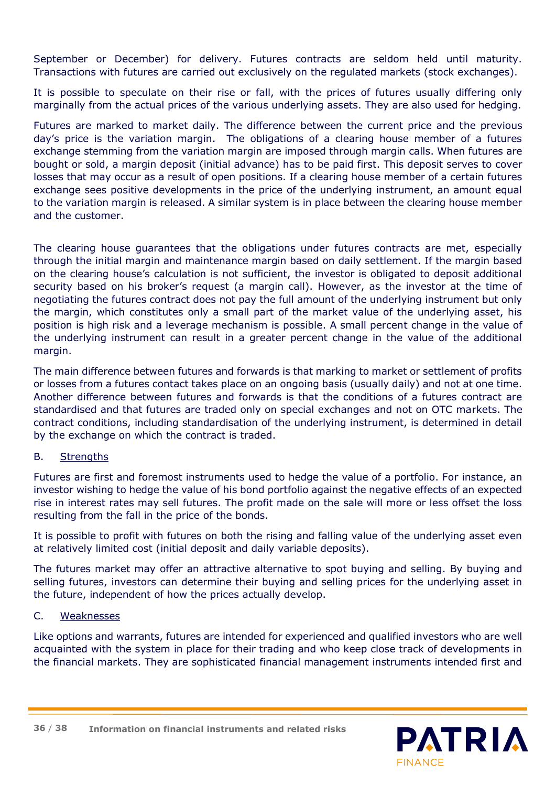September or December) for delivery. Futures contracts are seldom held until maturity. Transactions with futures are carried out exclusively on the regulated markets (stock exchanges).

It is possible to speculate on their rise or fall, with the prices of futures usually differing only marginally from the actual prices of the various underlying assets. They are also used for hedging.

Futures are marked to market daily. The difference between the current price and the previous day's price is the variation margin. The obligations of a clearing house member of a futures exchange stemming from the variation margin are imposed through margin calls. When futures are bought or sold, a margin deposit (initial advance) has to be paid first. This deposit serves to cover losses that may occur as a result of open positions. If a clearing house member of a certain futures exchange sees positive developments in the price of the underlying instrument, an amount equal to the variation margin is released. A similar system is in place between the clearing house member and the customer.

The clearing house guarantees that the obligations under futures contracts are met, especially through the initial margin and maintenance margin based on daily settlement. If the margin based on the clearing house's calculation is not sufficient, the investor is obligated to deposit additional security based on his broker's request (a margin call). However, as the investor at the time of negotiating the futures contract does not pay the full amount of the underlying instrument but only the margin, which constitutes only a small part of the market value of the underlying asset, his position is high risk and a leverage mechanism is possible. A small percent change in the value of the underlying instrument can result in a greater percent change in the value of the additional margin.

The main difference between futures and forwards is that marking to market or settlement of profits or losses from a futures contact takes place on an ongoing basis (usually daily) and not at one time. Another difference between futures and forwards is that the conditions of a futures contract are standardised and that futures are traded only on special exchanges and not on OTC markets. The contract conditions, including standardisation of the underlying instrument, is determined in detail by the exchange on which the contract is traded.

# B. Strengths

Futures are first and foremost instruments used to hedge the value of a portfolio. For instance, an investor wishing to hedge the value of his bond portfolio against the negative effects of an expected rise in interest rates may sell futures. The profit made on the sale will more or less offset the loss resulting from the fall in the price of the bonds.

It is possible to profit with futures on both the rising and falling value of the underlying asset even at relatively limited cost (initial deposit and daily variable deposits).

The futures market may offer an attractive alternative to spot buying and selling. By buying and selling futures, investors can determine their buying and selling prices for the underlying asset in the future, independent of how the prices actually develop.

#### C. Weaknesses

Like options and warrants, futures are intended for experienced and qualified investors who are well acquainted with the system in place for their trading and who keep close track of developments in the financial markets. They are sophisticated financial management instruments intended first and

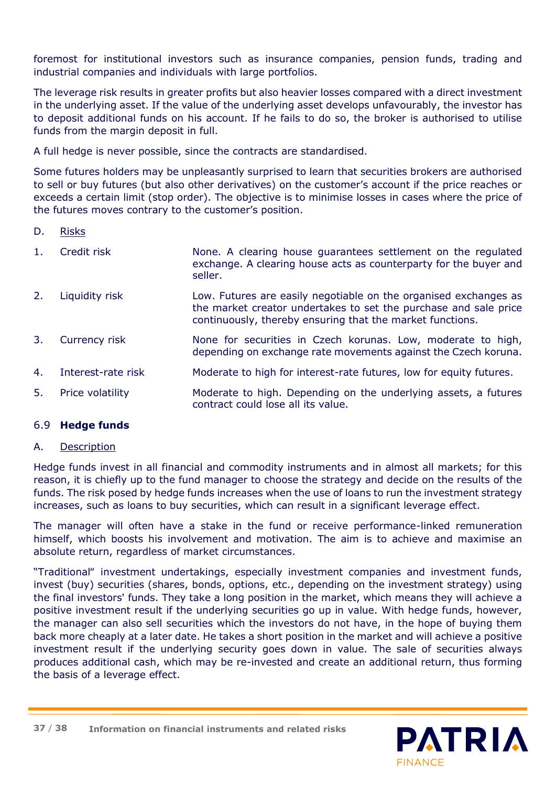foremost for institutional investors such as insurance companies, pension funds, trading and industrial companies and individuals with large portfolios.

The leverage risk results in greater profits but also heavier losses compared with a direct investment in the underlying asset. If the value of the underlying asset develops unfavourably, the investor has to deposit additional funds on his account. If he fails to do so, the broker is authorised to utilise funds from the margin deposit in full.

A full hedge is never possible, since the contracts are standardised.

Some futures holders may be unpleasantly surprised to learn that securities brokers are authorised to sell or buy futures (but also other derivatives) on the customer's account if the price reaches or exceeds a certain limit (stop order). The objective is to minimise losses in cases where the price of the futures moves contrary to the customer's position.

- D. Risks
- 1. Credit risk None. A clearing house guarantees settlement on the regulated exchange. A clearing house acts as counterparty for the buyer and seller.
- 2. Liquidity risk Low. Futures are easily negotiable on the organised exchanges as the market creator undertakes to set the purchase and sale price continuously, thereby ensuring that the market functions.
- 3. Currency risk None for securities in Czech korunas. Low, moderate to high, depending on exchange rate movements against the Czech koruna.
- 4. Interest-rate risk Moderate to high for interest-rate futures, low for equity futures.
- 5. Price volatility Moderate to high. Depending on the underlying assets, a futures contract could lose all its value.

#### 6.9 **Hedge funds**

#### A. Description

Hedge funds invest in all financial and commodity instruments and in almost all markets; for this reason, it is chiefly up to the fund manager to choose the strategy and decide on the results of the funds. The risk posed by hedge funds increases when the use of loans to run the investment strategy increases, such as loans to buy securities, which can result in a significant leverage effect.

The manager will often have a stake in the fund or receive performance-linked remuneration himself, which boosts his involvement and motivation. The aim is to achieve and maximise an absolute return, regardless of market circumstances.

"Traditional" investment undertakings, especially investment companies and investment funds, invest (buy) securities (shares, bonds, options, etc., depending on the investment strategy) using the final investors' funds. They take a long position in the market, which means they will achieve a positive investment result if the underlying securities go up in value. With hedge funds, however, the manager can also sell securities which the investors do not have, in the hope of buying them back more cheaply at a later date. He takes a short position in the market and will achieve a positive investment result if the underlying security goes down in value. The sale of securities always produces additional cash, which may be re-invested and create an additional return, thus forming the basis of a leverage effect.